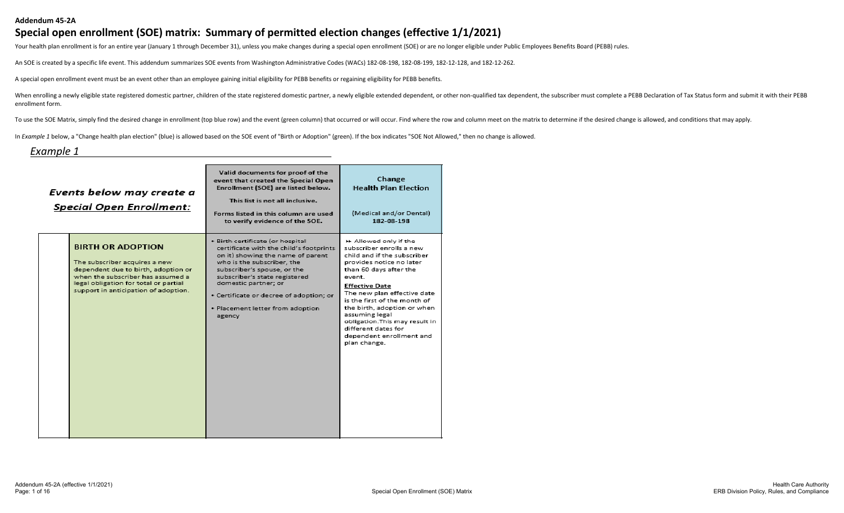#### **Addendum 45-2A**

#### **Special open enrollment (SOE) matrix: Summary of permitted election changes (effective 1/1/2021)**

Your health plan enrollment is for an entire year (January 1 through December 31), unless you make changes during a special open enrollment (SOE) or are no longer eligible under Public Employees Benefits Board (PEBB) rules

An SOE is created by a specific life event. This addendum summarizes SOE events from Washington Administrative Codes (WACs) 182-08-198, 182-08-199, 182-12-128, and 182-12-262.

A special open enrollment event must be an event other than an employee gaining initial eligibility for PEBB benefits or regaining eligibility for PEBB benefits.

When enrolling a newly eligible state registered domestic partner, children of the state registered domestic partner, a newly eligible extended dependent, or other non-qualified tax dependent, the subscriber must complete enrollment form.

To use the SOE Matrix, simply find the desired change in enrollment (top blue row) and the event (green column) that occurred or will occur. Find where the row and column meet on the matrix to determine if the desired chan

In *Example 1* below, a "Change health plan election" (blue) is allowed based on the SOE event of "Birth or Adoption" (green). If the box indicates "SOE Not Allowed," then no change is allowed.

#### *Example 1*

| Events below may create a<br><b>Special Open Enrollment:</b>                                                                                                                                                           | Valid documents for proof of the<br>event that created the Special Open<br>Enrollment (SOE) are listed below.<br>This list is not all inclusive.<br>Forms listed in this column are used<br>to verify evidence of the SOE.                                                                                                      | Change<br><b>Health Plan Election</b><br>(Medical and/or Dental)<br>182-08-198                                                                                                                                                                                                                                                                                                                 |
|------------------------------------------------------------------------------------------------------------------------------------------------------------------------------------------------------------------------|---------------------------------------------------------------------------------------------------------------------------------------------------------------------------------------------------------------------------------------------------------------------------------------------------------------------------------|------------------------------------------------------------------------------------------------------------------------------------------------------------------------------------------------------------------------------------------------------------------------------------------------------------------------------------------------------------------------------------------------|
| <b>BIRTH OR ADOPTION</b><br>The subscriber acquires a new<br>dependent due to birth, adoption or<br>when the subscriber has assumed a<br>legal obligation for total or partial<br>support in anticipation of adoption. | · Birth certificate (or hospital<br>certificate with the child's footprints<br>on it) showing the name of parent<br>who is the subscriber, the<br>subscriber's spouse, or the<br>subscriber's state registered<br>domestic partner; or<br>· Certificate or decree of adoption; or<br>· Placement letter from adoption<br>agency | ▶ Allowed only if the<br>subscriber enrolls a new<br>child and if the subscriber<br>provides notice no later<br>than 60 days after the<br>event.<br><b>Effective Date</b><br>The new plan effective date<br>is the first of the month of<br>the birth, adoption or when<br>assuming legal<br>obligation. This may result in<br>different dates for<br>dependent enrollment and<br>plan change. |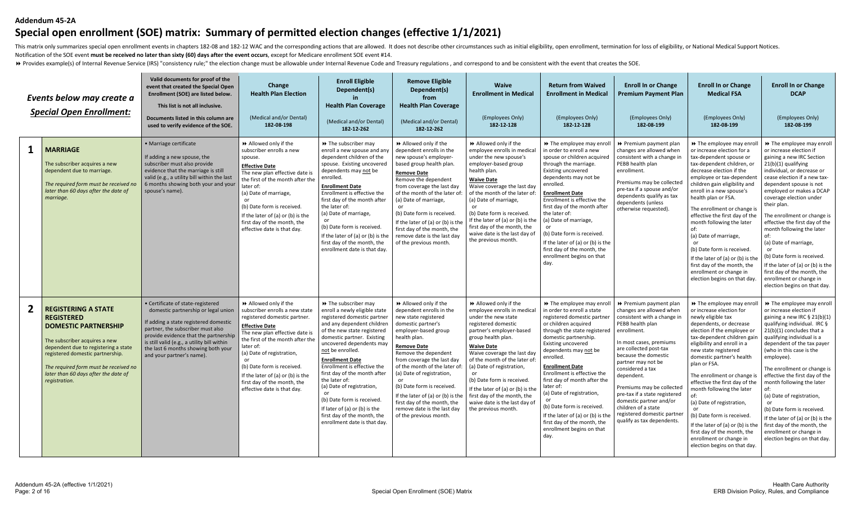#### **Addendum 45-2A**

# **Special open enrollment (SOE) matrix: Summary of permitted election changes (effective 1/1/2021)**

This matrix only summarizes special open enrollment events in chapters 182-08 and 182-12 WAC and the corresponding actions that are allowed. It does not describe other circumstances such as initial eligibility, open enroll Notification of the SOE event **must be received no later than sixty (60) days after the event occurs**, except for Medicare enrollment SOE event #14.

> Provides example(s) of Internal Revenue Service (IRS) "consistency rule;" the election change must be allowable under Internal Revenue Code and Treasury regulations, and correspond to and be consistent with the event tha

|              | Events below may create a<br><b>Special Open Enrollment:</b>                                                                                                                                                                                                                                  | Valid documents for proof of the<br>event that created the Special Open<br>Enrollment (SOE) are listed below.<br>This list is not all inclusive.<br>Documents listed in this column are<br>used to verify evidence of the SOE.                                                                                     | Change<br><b>Health Plan Election</b><br>(Medical and/or Dental)<br>182-08-198                                                                                                                                                                                                                                                                                     | <b>Enroll Eligible</b><br>Dependent(s)<br><b>Health Plan Coverage</b><br>(Medical and/or Dental)<br>182-12-262                                                                                                                                                                                                                                                                                                                                                                                        | <b>Remove Eligible</b><br>Dependent(s)<br>from<br><b>Health Plan Coverage</b><br>(Medical and/or Dental)<br>182-12-262                                                                                                                                                                                                                                                                                                                | <b>Waive</b><br><b>Enrollment in Medical</b><br>(Employees Only)<br>182-12-128                                                                                                                                                                                                                                                                                                                                                       | <b>Return from Waived</b><br><b>Enrollment in Medical</b><br>(Employees Only)<br>182-12-128                                                                                                                                                                                                                                                                                                                                                                                                                           | <b>Enroll In or Change</b><br><b>Premium Payment Plan</b><br>(Employees Only)<br>182-08-199                                                                                                                                                                                                                                                                                                                                            | <b>Enroll In or Change</b><br><b>Medical FSA</b><br>(Employees Only)<br>182-08-199                                                                                                                                                                                                                                                                                                                                                                                                                                                                           | <b>Enroll In or Change</b><br><b>DCAP</b><br>(Employees Only)<br>182-08-199                                                                                                                                                                                                                                                                                                                                                                                                                                                                                               |
|--------------|-----------------------------------------------------------------------------------------------------------------------------------------------------------------------------------------------------------------------------------------------------------------------------------------------|--------------------------------------------------------------------------------------------------------------------------------------------------------------------------------------------------------------------------------------------------------------------------------------------------------------------|--------------------------------------------------------------------------------------------------------------------------------------------------------------------------------------------------------------------------------------------------------------------------------------------------------------------------------------------------------------------|-------------------------------------------------------------------------------------------------------------------------------------------------------------------------------------------------------------------------------------------------------------------------------------------------------------------------------------------------------------------------------------------------------------------------------------------------------------------------------------------------------|---------------------------------------------------------------------------------------------------------------------------------------------------------------------------------------------------------------------------------------------------------------------------------------------------------------------------------------------------------------------------------------------------------------------------------------|--------------------------------------------------------------------------------------------------------------------------------------------------------------------------------------------------------------------------------------------------------------------------------------------------------------------------------------------------------------------------------------------------------------------------------------|-----------------------------------------------------------------------------------------------------------------------------------------------------------------------------------------------------------------------------------------------------------------------------------------------------------------------------------------------------------------------------------------------------------------------------------------------------------------------------------------------------------------------|----------------------------------------------------------------------------------------------------------------------------------------------------------------------------------------------------------------------------------------------------------------------------------------------------------------------------------------------------------------------------------------------------------------------------------------|--------------------------------------------------------------------------------------------------------------------------------------------------------------------------------------------------------------------------------------------------------------------------------------------------------------------------------------------------------------------------------------------------------------------------------------------------------------------------------------------------------------------------------------------------------------|---------------------------------------------------------------------------------------------------------------------------------------------------------------------------------------------------------------------------------------------------------------------------------------------------------------------------------------------------------------------------------------------------------------------------------------------------------------------------------------------------------------------------------------------------------------------------|
| 1            | <b>MARRIAGE</b><br>The subscriber acquires a new<br>dependent due to marriage.<br>The required form must be received no<br>later than 60 days after the date of<br>marriage.                                                                                                                  | · Marriage certificate<br>If adding a new spouse, the<br>subscriber must also provide<br>evidence that the marriage is still<br>valid (e.g., a utility bill within the last<br>6 months showing both your and your<br>spouse's name)                                                                               | Allowed only if the<br>subscriber enrolls a new<br>spouse.<br><b>Effective Date</b><br>The new plan effective date is<br>the first of the month after the<br>later of:<br>(a) Date of marriage,<br>or<br>(b) Date form is received.<br>If the later of (a) or (b) is the<br>first day of the month, the<br>effective date is that day.                             | >> The subscriber may<br>enroll a new spouse and any<br>dependent children of the<br>spouse. Existing uncovered<br>dependents may not be<br>enrolled.<br><b>Enrollment Date</b><br>Enrollment is effective the<br>first day of the month after<br>the later of:<br>(a) Date of marriage,<br>or<br>(b) Date form is received.<br>If the later of (a) or (b) is the<br>first day of the month, the<br>enrollment date is that day                                                                       | >> Allowed only if the<br>dependent enrolls in the<br>new spouse's employer-<br>based group health plan.<br><b>Remove Date</b><br>Remove the dependent<br>from coverage the last day<br>of the month of the later of:<br>(a) Date of marriage,<br>(b) Date form is received<br>If the later of (a) or (b) is the<br>first day of the month, the<br>remove date is the last day<br>of the previous month.                              | >> Allowed only if the<br>employee enrolls in medica<br>under the new spouse's<br>employer-based group<br>health plan.<br><b>Waive Date</b><br>Waive coverage the last day<br>of the month of the later of<br>(a) Date of marriage,<br>(b) Date form is received<br>If the later of (a) or (b) is the<br>first day of the month, the<br>waive date is the last day of<br>the previous month.                                         | >> The employee may enroll<br>in order to enroll a new<br>spouse or children acquired<br>through the marriage.<br><b>Existing uncovered</b><br>dependents may not be<br>enrolled.<br><b>Enrollment Date</b><br>Enrollment is effective the<br>first day of the month after<br>the later of:<br>(a) Date of marriage,<br>or<br>(b) Date form is received.<br>If the later of (a) or (b) is the<br>first day of the month, the<br>enrollment begins on that<br>day.                                                     | ▶ Premium payment plan<br>changes are allowed when<br>consistent with a change in<br>PEBB health plan<br>enrollment.<br>Premiums may be collected<br>pre-tax if a spouse and/or<br>dependents qualify as tax<br>dependents (unless<br>otherwise requested).                                                                                                                                                                            | >> The employee may enrol<br>or increase election for a<br>tax-dependent spouse or<br>tax-dependent children, or<br>decrease election if the<br>employee or tax-dependen<br>children gain eligibility and<br>enroll in a new spouse's<br>health plan or FSA.<br>The enrollment or change is<br>effective the first day of the<br>month following the later<br>(a) Date of marriage,<br>(b) Date form is received.<br>If the later of (a) or (b) is the<br>first day of the month, the<br>enrollment or change in<br>election begins on that day.             | >> The employee may enroll<br>or increase election if<br>gaining a new IRC Section<br>21(b)(1) qualifying<br>individual, or decrease or<br>cease election if a new tax-<br>dependent spouse is not<br>employed or makes a DCAP<br>coverage election under<br>their plan.<br>The enrollment or change is<br>effective the first day of the<br>month following the later<br>of:<br>(a) Date of marriage,<br>or<br>(b) Date form is received.<br>If the later of (a) or (b) is the<br>first day of the month, the<br>enrollment or change in<br>election begins on that day. |
| $\mathbf{2}$ | <b>REGISTERING A STATE</b><br><b>REGISTERED</b><br><b>DOMESTIC PARTNERSHIP</b><br>The subscriber acquires a new<br>dependent due to registering a state<br>registered domestic partnership.<br>The required form must be received no<br>later than 60 days after the date of<br>registration. | · Certificate of state-registered<br>domestic partnership or legal union<br>If adding a state registered domestic<br>partner, the subscriber must also<br>provide evidence that the partnership<br>is still valid (e.g., a utility bill within<br>the last 6 months showing both your<br>and your partner's name). | >> Allowed only if the<br>subscriber enrolls a new state<br>registered domestic partner.<br><b>Effective Date</b><br>The new plan effective date is<br>the first of the month after the<br>later of:<br>(a) Date of registration,<br>(b) Date form is received.<br>If the later of (a) or (b) is the<br>first day of the month, the<br>effective date is that day. | >> The subscriber may<br>enroll a newly eligible state<br>registered domestic partner<br>and any dependent children<br>of the new state registered<br>domestic partner. Existing<br>uncovered dependents may<br>not be enrolled.<br><b>Enrollment Date</b><br>Enrollment is effective the<br>first day of the month after<br>the later of:<br>(a) Date of registration,<br>(b) Date form is received.<br>If later of (a) or (b) is the<br>first day of the month, the<br>enrollment date is that day. | >> Allowed only if the<br>dependent enrolls in the<br>new state registered<br>domestic partner's<br>employer-based group<br>health plan.<br>Remove Date<br>Remove the dependent<br>from coverage the last day<br>of the month of the later of:<br>(a) Date of registration,<br>(b) Date form is received<br>If the later of (a) or (b) is the<br>first day of the month, the<br>remove date is the last day<br>of the previous month. | >> Allowed only if the<br>employee enrolls in medical<br>under the new state<br>registered domestic<br>partner's employer-based<br>group health plan.<br><b>Waive Date</b><br>Waive coverage the last day<br>of the month of the later of<br>(a) Date of registration,<br>or<br>(b) Date form is received<br>If the later of (a) or (b) is th<br>first day of the month, the<br>waive date is the last day of<br>the previous month. | >> The employee may enroll<br>in order to enroll a state<br>registered domestic partner<br>or children acquired<br>through the state registered<br>domestic partnership.<br><b>Existing uncovered</b><br>dependents may not be<br>enrolled.<br><b>Enrollment Date</b><br>Enrollment is effective the<br>first day of month after the<br>later of:<br>(a) Date of registration,<br>(b) Date form is received.<br>If the later of (a) or (b) is the<br>first day of the month, the<br>enrollment begins on that<br>day. | ▶ Premium payment plan<br>changes are allowed when<br>consistent with a change in<br>PEBB health plan<br>enrollment.<br>In most cases, premiums<br>are collected post-tax<br>because the domestic<br>partner may not be<br>considered a tax<br>dependent.<br>Premiums may be collected<br>pre-tax if a state registered<br>domestic partner and/or<br>children of a state<br>registered domestic partner<br>qualify as tax dependents. | >> The employee may enr<br>or increase election for<br>newly eligible tax<br>dependents, or decrease<br>election if the employee or<br>tax-dependent children gai<br>eligibility and enroll in a<br>new state registered<br>domestic partner's health<br>plan or FSA.<br>The enrollment or change is<br>effective the first day of the<br>month following the later<br>(a) Date of registration,<br>(b) Date form is received<br>If the later of (a) or (b) is the<br>first day of the month, the<br>enrollment or change in<br>election begins on that day. | >> The employee may enroll<br>or increase election if<br>gaining a new IRC § 21(b)(1)<br>qualifying individual. IRC §<br>$21(b)(1)$ concludes that a<br>qualifying individual is a<br>dependent of the tax payer<br>(who in this case is the<br>employee).<br>The enrollment or change is<br>effective the first day of the<br>month following the later<br>of:<br>(a) Date of registration,<br>(b) Date form is received.<br>If the later of (a) or (b) is the<br>first day of the month, the<br>enrollment or change in<br>election begins on that day.                 |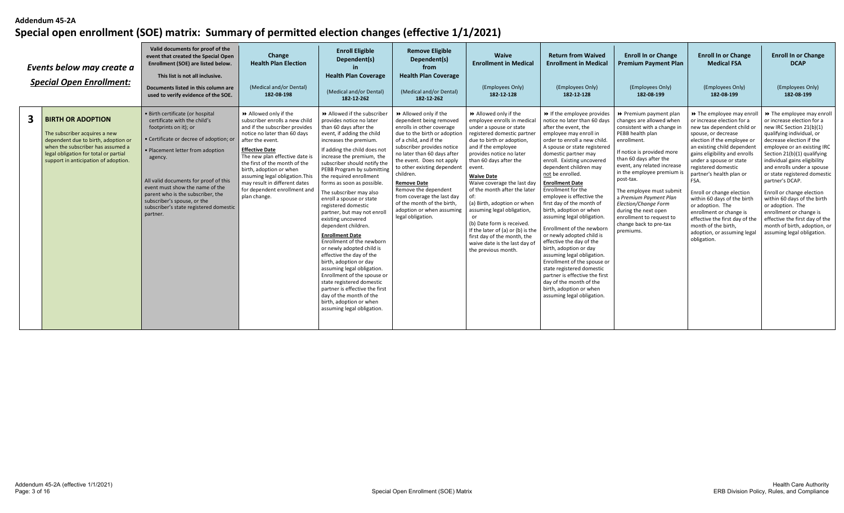|   | Events below may create a<br><b>Special Open Enrollment:</b>                                                                                                                                                           | Valid documents for proof of the<br>event that created the Special Open<br>Enrollment (SOE) are listed below.<br>This list is not all inclusive.<br>Documents listed in this column are<br>used to verify evidence of the SOE.                                                                                                                                                            | Change<br><b>Health Plan Election</b><br>(Medical and/or Dental)<br>182-08-198                                                                                                                                                                                                                                                                                                            | <b>Enroll Eligible</b><br>Dependent(s)<br><b>Health Plan Coverage</b><br>(Medical and/or Dental)<br>182-12-262                                                                                                                                                                                                                                                                                                                                                                                                                                                                                                                                                                                                                                                                                                                                | <b>Remove Eligible</b><br>Dependent(s)<br>from<br><b>Health Plan Coverage</b><br>(Medical and/or Dental)<br>182-12-262                                                                                                                                                                                                                                                                                                                  | Waive<br><b>Enrollment in Medical</b><br>(Employees Only)<br>182-12-128                                                                                                                                                                                                                                                                                                                                                                                                                                                                     | <b>Return from Waived</b><br><b>Enrollment in Medical</b><br>(Employees Only)<br>182-12-128                                                                                                                                                                                                                                                                                                                                                                                                                                                                                                                                                                                                                                                                                       | <b>Enroll In or Change</b><br><b>Premium Payment Plan</b><br>(Employees Only)<br>182-08-199                                                                                                                                                                                                                                                                                                                                     | <b>Enroll In or Change</b><br><b>Medical FSA</b><br>(Employees Only)<br>182-08-199                                                                                                                                                                                                                                                                                                                                                                                                                                 | <b>Enroll In or Change</b><br><b>DCAP</b><br>(Employees Only)<br>182-08-199                                                                                                                                                                                                                                                                                                                                                                                                                                                             |
|---|------------------------------------------------------------------------------------------------------------------------------------------------------------------------------------------------------------------------|-------------------------------------------------------------------------------------------------------------------------------------------------------------------------------------------------------------------------------------------------------------------------------------------------------------------------------------------------------------------------------------------|-------------------------------------------------------------------------------------------------------------------------------------------------------------------------------------------------------------------------------------------------------------------------------------------------------------------------------------------------------------------------------------------|-----------------------------------------------------------------------------------------------------------------------------------------------------------------------------------------------------------------------------------------------------------------------------------------------------------------------------------------------------------------------------------------------------------------------------------------------------------------------------------------------------------------------------------------------------------------------------------------------------------------------------------------------------------------------------------------------------------------------------------------------------------------------------------------------------------------------------------------------|-----------------------------------------------------------------------------------------------------------------------------------------------------------------------------------------------------------------------------------------------------------------------------------------------------------------------------------------------------------------------------------------------------------------------------------------|---------------------------------------------------------------------------------------------------------------------------------------------------------------------------------------------------------------------------------------------------------------------------------------------------------------------------------------------------------------------------------------------------------------------------------------------------------------------------------------------------------------------------------------------|-----------------------------------------------------------------------------------------------------------------------------------------------------------------------------------------------------------------------------------------------------------------------------------------------------------------------------------------------------------------------------------------------------------------------------------------------------------------------------------------------------------------------------------------------------------------------------------------------------------------------------------------------------------------------------------------------------------------------------------------------------------------------------------|---------------------------------------------------------------------------------------------------------------------------------------------------------------------------------------------------------------------------------------------------------------------------------------------------------------------------------------------------------------------------------------------------------------------------------|--------------------------------------------------------------------------------------------------------------------------------------------------------------------------------------------------------------------------------------------------------------------------------------------------------------------------------------------------------------------------------------------------------------------------------------------------------------------------------------------------------------------|-----------------------------------------------------------------------------------------------------------------------------------------------------------------------------------------------------------------------------------------------------------------------------------------------------------------------------------------------------------------------------------------------------------------------------------------------------------------------------------------------------------------------------------------|
| 3 | <b>BIRTH OR ADOPTION</b><br>The subscriber acquires a new<br>dependent due to birth, adoption or<br>when the subscriber has assumed a<br>legal obligation for total or partial<br>support in anticipation of adoption. | · Birth certificate (or hospital<br>certificate with the child's<br>footprints on it); or<br>· Certificate or decree of adoption; or<br>• Placement letter from adoption<br>agency.<br>All valid documents for proof of this<br>event must show the name of the<br>parent who is the subscriber, the<br>subscriber's spouse, or the<br>subscriber's state registered domestic<br>partner. | >> Allowed only if the<br>subscriber enrolls a new child<br>and if the subscriber provides<br>notice no later than 60 days<br>after the event.<br><b>Effective Date</b><br>The new plan effective date is<br>the first of the month of the<br>birth, adoption or when<br>assuming legal obligation. This<br>may result in different dates<br>for dependent enrollment and<br>plan change. | Allowed if the subscriber<br>provides notice no later<br>than 60 days after the<br>event, if adding the child<br>increases the premium.<br>If adding the child does not<br>increase the premium, the<br>subscriber should notify the<br>PEBB Program by submitting<br>the required enrollment<br>forms as soon as possible.<br>The subscriber may also<br>enroll a spouse or state<br>registered domestic<br>partner, but may not enro<br>existing uncovered<br>dependent children.<br><b>Enrollment Date</b><br>Enrollment of the newborn<br>or newly adopted child is<br>effective the day of the<br>birth, adoption or day<br>assuming legal obligation.<br>Enrollment of the spouse or<br>state registered domestic<br>partner is effective the first<br>day of the month of the<br>birth, adoption or when<br>assuming legal obligation. | Allowed only if the<br>dependent being removed<br>enrolls in other coverage<br>due to the birth or adoption<br>of a child, and if the<br>subscriber provides notice<br>no later than 60 days after<br>the event. Does not apply<br>to other existing dependent<br>children.<br><b>Remove Date</b><br>Remove the dependent<br>from coverage the last day<br>of the month of the birth,<br>adoption or when assuming<br>legal obligation. | Allowed only if the<br>employee enrolls in medical<br>under a spouse or state<br>registered domestic partner<br>due to birth or adoption,<br>and if the employee<br>provides notice no later<br>than 60 days after the<br>event.<br><b>Waive Date</b><br>Waive coverage the last day<br>of the month after the later<br>(a) Birth, adoption or when<br>assuming legal obligation,<br>(b) Date form is received.<br>If the later of (a) or (b) is the<br>first day of the month, the<br>waive date is the last day of<br>the previous month. | If the employee provides<br>notice no later than 60 days<br>after the event, the<br>employee may enroll in<br>order to enroll a new child.<br>A spouse or state registered<br>domestic partner may<br>enroll. Existing uncovered<br>dependent children may<br>not be enrolled.<br><b>Enrollment Date</b><br>Enrollment for the<br>employee is effective the<br>first day of the month of<br>birth, adoption or when<br>assuming legal obligation.<br>Enrollment of the newborn<br>or newly adopted child is<br>effective the day of the<br>birth, adoption or day<br>assuming legal obligation.<br>Enrollment of the spouse or<br>state registered domestic<br>partner is effective the first<br>day of the month of the<br>birth, adoption or when<br>assuming legal obligation. | ▶ Premium payment plan<br>changes are allowed when<br>consistent with a change in<br>PEBB health plan<br>enrollment.<br>If notice is provided more<br>than 60 days after the<br>event, any related increase<br>in the employee premium is<br>post-tax.<br>The employee must submit<br>a Premium Payment Plan<br>Election/Change Form<br>during the next open<br>enrollment to request to<br>change back to pre-tax<br>premiums. | >> The employee may enro<br>or increase election for a<br>new tax dependent child or<br>spouse, or decrease<br>election if the employee or<br>an existing child dependent<br>gains eligibility and enrolls<br>under a spouse or state<br>registered domestic<br>partner's health plan or<br>FSA.<br>Enroll or change election<br>within 60 days of the birth<br>or adoption. The<br>enrollment or change is<br>effective the first day of the<br>month of the birth,<br>adoption, or assuming legal<br>obligation. | >> The employee may enroll<br>or increase election for a<br>new IRC Section 21(b)(1)<br>qualifying individual, or<br>decrease election if the<br>employee or an existing IRC<br>Section 21(b)(1) qualifying<br>individual gains eligibility<br>and enrolls under a spouse<br>or state registered domestic<br>partner's DCAP.<br>Enroll or change election<br>within 60 days of the birth<br>or adoption. The<br>enrollment or change is<br>effective the first day of the<br>month of birth, adoption, or<br>assuming legal obligation. |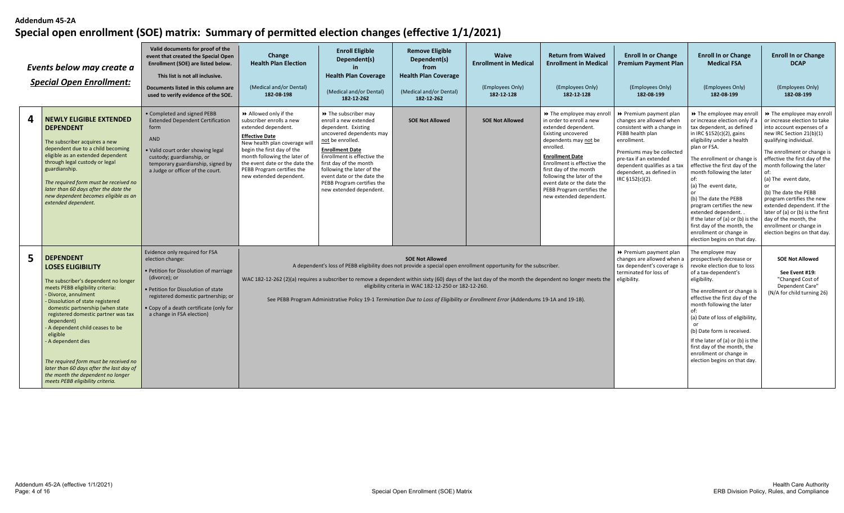|   | Events below may create a<br><b>Special Open Enrollment:</b>                                                                                                                                                                                                                                                                                                                                                                                                                                                       | Valid documents for proof of the<br>event that created the Special Open<br>Enrollment (SOE) are listed below.<br>This list is not all inclusive.<br>Documents listed in this column are<br>used to verify evidence of the SOE.                                    | Change<br><b>Health Plan Election</b><br>(Medical and/or Dental)<br>182-08-198                                                                                                                                                                                                               | <b>Enroll Eligible</b><br>Dependent(s)<br><b>Health Plan Coverage</b><br>(Medical and/or Dental)<br>182-12-262                                                                                                                                                                                                                | <b>Remove Eligible</b><br>Dependent(s)<br>from<br><b>Health Plan Coverage</b><br>(Medical and/or Dental)<br>182-12-262 | Waive<br><b>Enrollment in Medical</b><br>(Employees Only)<br>182-12-128 | <b>Return from Waived</b><br><b>Enrollment in Medical</b><br>(Employees Only)<br>182-12-128                                                                                                                                                                                                                                                              | <b>Enroll In or Change</b><br><b>Premium Payment Plan</b><br>(Employees Only)<br>182-08-199                                                                                                                                                                | <b>Enroll In or Change</b><br><b>Medical FSA</b><br>(Employees Only)<br>182-08-199                                                                                                                                                                                                                                                                                                                                                                                                                             | <b>Enroll In or Change</b><br><b>DCAP</b><br>(Employees Only)<br>182-08-199                                                                                                                                                                                                                                                                                                                                                                                                            |
|---|--------------------------------------------------------------------------------------------------------------------------------------------------------------------------------------------------------------------------------------------------------------------------------------------------------------------------------------------------------------------------------------------------------------------------------------------------------------------------------------------------------------------|-------------------------------------------------------------------------------------------------------------------------------------------------------------------------------------------------------------------------------------------------------------------|----------------------------------------------------------------------------------------------------------------------------------------------------------------------------------------------------------------------------------------------------------------------------------------------|-------------------------------------------------------------------------------------------------------------------------------------------------------------------------------------------------------------------------------------------------------------------------------------------------------------------------------|------------------------------------------------------------------------------------------------------------------------|-------------------------------------------------------------------------|----------------------------------------------------------------------------------------------------------------------------------------------------------------------------------------------------------------------------------------------------------------------------------------------------------------------------------------------------------|------------------------------------------------------------------------------------------------------------------------------------------------------------------------------------------------------------------------------------------------------------|----------------------------------------------------------------------------------------------------------------------------------------------------------------------------------------------------------------------------------------------------------------------------------------------------------------------------------------------------------------------------------------------------------------------------------------------------------------------------------------------------------------|----------------------------------------------------------------------------------------------------------------------------------------------------------------------------------------------------------------------------------------------------------------------------------------------------------------------------------------------------------------------------------------------------------------------------------------------------------------------------------------|
| 4 | <b>NEWLY ELIGIBLE EXTENDED</b><br><b>DEPENDENT</b><br>The subscriber acquires a new<br>dependent due to a child becoming<br>eligible as an extended dependent<br>through legal custody or legal<br>guardianship.<br>The required form must be received no<br>later than 60 days after the date the<br>new dependent becomes eligible as an<br>extended dependent.                                                                                                                                                  | Completed and signed PEBB<br><b>Extended Dependent Certification</b><br>form<br><b>AND</b><br>Valid court order showing legal<br>custody; guardianship, or<br>temporary guardianship, signed by<br>a Judge or officer of the court.                               | >> Allowed only if the<br>subscriber enrolls a new<br>extended dependent.<br><b>Effective Date</b><br>New health plan coverage will<br>begin the first day of the<br>month following the later of<br>the event date or the date the<br>PEBB Program certifies the<br>new extended dependent. | >> The subscriber may<br>enroll a new extended<br>dependent. Existing<br>uncovered dependents may<br>not be enrolled.<br><b>Enrollment Date</b><br>Enrollment is effective the<br>first day of the month<br>following the later of the<br>event date or the date the<br>PEBB Program certifies the<br>new extended dependent. | <b>SOE Not Allowed</b>                                                                                                 | <b>SOE Not Allowed</b>                                                  | >> The employee may enroll<br>in order to enroll a new<br>extended dependent.<br><b>Existing uncovered</b><br>dependents may not be<br>enrolled.<br><b>Enrollment Date</b><br>Enrollment is effective the<br>first day of the month<br>following the later of the<br>event date or the date the<br>PEBB Program certifies the<br>new extended dependent. | ▶ Premium payment plan<br>changes are allowed when<br>consistent with a change in<br>PEBB health plan<br>enrollment.<br>Premiums may be collected<br>pre-tax if an extended<br>dependent qualifies as a tax<br>dependent, as defined in<br>IRC §152(c)(2). | >> The employee may enro<br>or increase election only if a<br>tax dependent, as defined<br>in IRC $$152(c)(2)$ , gains<br>eligibility under a health<br>plan or FSA.<br>The enrollment or change is<br>effective the first day of the<br>month following the later<br>of:<br>(a) The event date,<br>(b) The date the PEBB<br>program certifies the new<br>extended dependent. .<br>If the later of (a) or (b) is the<br>first day of the month, the<br>enrollment or change in<br>election begins on that day. | >> The employee may enroll<br>or increase election to take<br>into account expenses of a<br>new IRC Section 21(b)(1)<br>qualifying individual.<br>The enrollment or change is<br>effective the first day of the<br>month following the later<br>of:<br>(a) The event date,<br>(b) The date the PEBB<br>program certifies the new<br>extended dependent. If the<br>later of (a) or (b) is the first<br>day of the month, the<br>enrollment or change in<br>election begins on that day. |
| 5 | <b>DEPENDENT</b><br><b>LOSES ELIGIBILITY</b><br>The subscriber's dependent no longer<br>meets PEBB eligibility criteria:<br>- Divorce, annulment<br>- Dissolution of state registered<br>domestic partnership (when state<br>registered domestic partner was tax<br>dependent)<br>- A dependent child ceases to be<br>eligible<br>- A dependent dies<br>The required form must be received no<br>later than 60 days after the last day of<br>the month the dependent no longer<br>meets PEBB eligibility criteria. | Evidence only required for FSA<br>election change:<br>• Petition for Dissolution of marriage<br>(divorce); or<br>• Petition for Dissolution of state<br>registered domestic partnership; or<br>Copy of a death certificate (only for<br>a change in FSA election) | WAC 182-12-262 (2)(a) requires a subscriber to remove a dependent within sixty (60) days of the last day of the month the dependent no longer meets the                                                                                                                                      | A dependent's loss of PEBB eligibility does not provide a special open enrollment opportunity for the subscriber.<br>See PEBB Program Administrative Policy 19-1 Termination Due to Loss of Eligibility or Enrollment Error (Addendums 19-1A and 19-1B).                                                                      | <b>SOE Not Allowed</b><br>eligibility criteria in WAC 182-12-250 or 182-12-260.                                        |                                                                         |                                                                                                                                                                                                                                                                                                                                                          | ▶ Premium payment plan<br>changes are allowed when a<br>tax dependent's coverage is<br>terminated for loss of<br>eligibility.                                                                                                                              | The employee may<br>prospectively decrease or<br>revoke election due to loss<br>of a tax-dependent's<br>eligibility.<br>The enrollment or change is<br>effective the first day of the<br>month following the later<br>(a) Date of loss of eligibility,<br>(b) Date form is received.<br>If the later of (a) or (b) is the<br>first day of the month, the<br>enrollment or change in<br>election begins on that day.                                                                                            | <b>SOE Not Allowed</b><br>See Event #19:<br>"Changed Cost of<br>Dependent Care"<br>(N/A for child turning 26)                                                                                                                                                                                                                                                                                                                                                                          |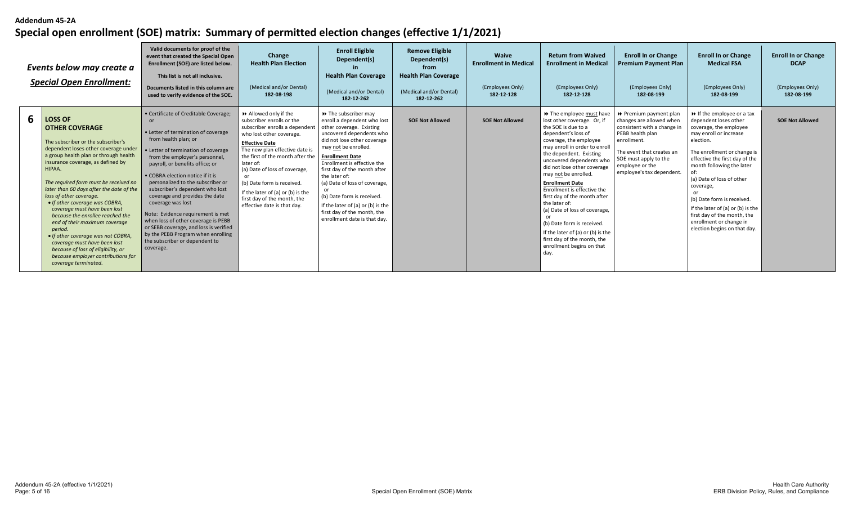|   | Events below may create a<br><b>Special Open Enrollment:</b>                                                                                                                                                                                                                                                                                                                                                                                                                                                                                                                                                                                              | Valid documents for proof of the<br>event that created the Special Open<br>Enrollment (SOE) are listed below.<br>This list is not all inclusive.<br>Documents listed in this column are<br>used to verify evidence of the SOE.                                                                                                                                                                                                                                                                                                                                                                       | Change<br><b>Health Plan Election</b><br>(Medical and/or Dental)<br>182-08-198                                                                                                                                                                                                                                                                                                               | <b>Enroll Eligible</b><br>Dependent(s)<br><b>Health Plan Coverage</b><br>(Medical and/or Dental)<br>182-12-262                                                                                                                                                                                                                                                                                                                                                    | <b>Remove Eligible</b><br>Dependent(s)<br>from<br><b>Health Plan Coverage</b><br>(Medical and/or Dental)<br>182-12-262 | <b>Waive</b><br><b>Enrollment in Medical</b><br>(Employees Only)<br>182-12-128 | <b>Return from Waived</b><br><b>Enrollment in Medical</b><br>(Employees Only)<br>182-12-128                                                                                                                                                                                                                                                                                                                                                                                                                                                                       | <b>Enroll In or Change</b><br><b>Premium Payment Plan</b><br>(Employees Only)<br>182-08-199                                                                                                                                | <b>Enroll In or Change</b><br><b>Medical FSA</b><br>(Employees Only)<br>182-08-199                                                                                                                                                                                                                                                                                                                                                          | <b>Enroll In or Change</b><br><b>DCAP</b><br>(Employees Only)<br>182-08-199 |
|---|-----------------------------------------------------------------------------------------------------------------------------------------------------------------------------------------------------------------------------------------------------------------------------------------------------------------------------------------------------------------------------------------------------------------------------------------------------------------------------------------------------------------------------------------------------------------------------------------------------------------------------------------------------------|------------------------------------------------------------------------------------------------------------------------------------------------------------------------------------------------------------------------------------------------------------------------------------------------------------------------------------------------------------------------------------------------------------------------------------------------------------------------------------------------------------------------------------------------------------------------------------------------------|----------------------------------------------------------------------------------------------------------------------------------------------------------------------------------------------------------------------------------------------------------------------------------------------------------------------------------------------------------------------------------------------|-------------------------------------------------------------------------------------------------------------------------------------------------------------------------------------------------------------------------------------------------------------------------------------------------------------------------------------------------------------------------------------------------------------------------------------------------------------------|------------------------------------------------------------------------------------------------------------------------|--------------------------------------------------------------------------------|-------------------------------------------------------------------------------------------------------------------------------------------------------------------------------------------------------------------------------------------------------------------------------------------------------------------------------------------------------------------------------------------------------------------------------------------------------------------------------------------------------------------------------------------------------------------|----------------------------------------------------------------------------------------------------------------------------------------------------------------------------------------------------------------------------|---------------------------------------------------------------------------------------------------------------------------------------------------------------------------------------------------------------------------------------------------------------------------------------------------------------------------------------------------------------------------------------------------------------------------------------------|-----------------------------------------------------------------------------|
| 6 | <b>LOSS OF</b><br><b>OTHER COVERAGE</b><br>The subscriber or the subscriber's<br>dependent loses other coverage under<br>a group health plan or through health<br>insurance coverage, as defined by<br>HIPAA.<br>The required form must be received no<br>later than 60 days after the date of the<br>loss of other coverage.<br>• If other coverage was COBRA,<br>coverage must have been lost<br>because the enrollee reached the<br>end of their maximum coverage<br>period.<br>• If other coverage was not COBRA,<br>coverage must have been lost<br>because of loss of eligibility, or<br>because employer contributions for<br>coverage terminated. | • Certificate of Creditable Coverage;<br>or<br>• Letter of termination of coverage<br>from health plan; or<br>• Letter of termination of coverage<br>from the employer's personnel,<br>payroll, or benefits office; or<br>• COBRA election notice if it is<br>personalized to the subscriber or<br>subscriber's dependent who lost<br>coverage and provides the date<br>coverage was lost<br>Note: Evidence requirement is met<br>when loss of other coverage is PEBB<br>or SEBB coverage, and loss is verified<br>by the PEBB Program when enrolling<br>the subscriber or dependent to<br>coverage. | Allowed only if the<br>subscriber enrolls or the<br>subscriber enrolls a dependent<br>who lost other coverage.<br><b>Effective Date</b><br>The new plan effective date is<br>the first of the month after the<br>later of:<br>(a) Date of loss of coverage,<br>(b) Date form is received.<br>If the later of (a) or (b) is the<br>first day of the month, the<br>effective date is that day. | $\rightarrow$ The subscriber may<br>enroll a dependent who lost<br>other coverage. Existing<br>uncovered dependents who<br>did not lose other coverage<br>may not be enrolled.<br><b>Enrollment Date</b><br>Enrollment is effective the<br>first day of the month after<br>the later of:<br>(a) Date of loss of coverage,<br>or<br>(b) Date form is received.<br>If the later of (a) or (b) is the<br>first day of the month, the<br>enrollment date is that day. | <b>SOE Not Allowed</b>                                                                                                 | <b>SOE Not Allowed</b>                                                         | >> The employee must have<br>lost other coverage. Or, if<br>the SOE is due to a<br>dependent's loss of<br>coverage, the employee<br>may enroll in order to enroll<br>the dependent. Existing<br>uncovered dependents who<br>did not lose other coverage<br>may not be enrolled.<br><b>Enrollment Date</b><br>Enrollment is effective the<br>first day of the month after<br>the later of:<br>(a) Date of loss of coverage,<br>(b) Date form is received.<br>If the later of (a) or (b) is the<br>first day of the month, the<br>enrollment begins on that<br>day. | ▶ Premium payment plan<br>changes are allowed when<br>consistent with a change in<br>PEBB health plan<br>enrollment.<br>The event that creates an<br>SOE must apply to the<br>employee or the<br>employee's tax dependent. | $\rightarrow$ If the employee or a tax<br>dependent loses other<br>coverage, the employee<br>may enroll or increase<br>election.<br>The enrollment or change is<br>effective the first day of the<br>month following the later<br>(a) Date of loss of other<br>coverage,<br>or<br>(b) Date form is received.<br>If the later of (a) or (b) is the<br>first day of the month, the<br>enrollment or change in<br>election begins on that day. | <b>SOE Not Allowed</b>                                                      |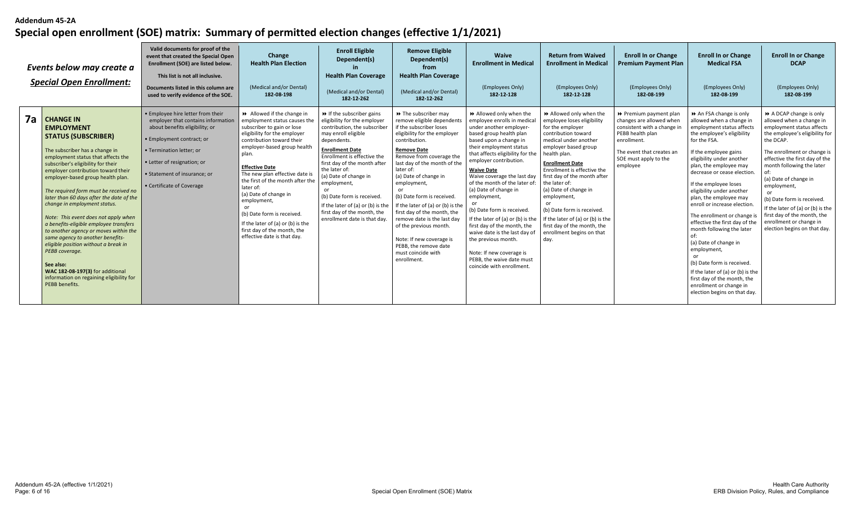|    | Events below may create a<br><b>Special Open Enrollment:</b>                                                                                                                                                                                                                                                                                                                                                                                                                                                                                                                                                                                                                                                              | Valid documents for proof of the<br>event that created the Special Open<br>Enrollment (SOE) are listed below.<br>This list is not all inclusive.<br>Documents listed in this column are<br>used to verify evidence of the SOE.                                 | Change<br><b>Health Plan Election</b><br>(Medical and/or Dental)<br>182-08-198                                                                                                                                                                                                                                                                                                                                                                                                         | <b>Enroll Eligible</b><br>Dependent(s)<br><b>Health Plan Coverage</b><br>(Medical and/or Dental)<br>182-12-262                                                                                                                                                                                                                                                                                                                           | <b>Remove Eligible</b><br>Dependent(s)<br>from<br><b>Health Plan Coverage</b><br>(Medical and/or Dental)<br>182-12-262                                                                                                                                                                                                                                                                                                                                                                                                           | Waive<br><b>Enrollment in Medical</b><br>(Employees Only)<br>182-12-128                                                                                                                                                                                                                                                                                                                                                                                                                                                                                                                                       | <b>Return from Waived</b><br><b>Enrollment in Medical</b><br>(Employees Only)<br>182-12-128                                                                                                                                                                                                                                                                                                                                                                 | <b>Enroll In or Change</b><br><b>Premium Payment Plan</b><br>(Employees Only)<br>182-08-199                                                                                            | <b>Enroll In or Change</b><br><b>Medical FSA</b><br>(Employees Only)<br>182-08-199                                                                                                                                                                                                                                                                                                                                                                                                                                                                                                                                                                         | <b>Enroll In or Change</b><br><b>DCAP</b><br>(Employees Only)<br>182-08-199                                                                                                                                                                                                                                                                                                                                                      |
|----|---------------------------------------------------------------------------------------------------------------------------------------------------------------------------------------------------------------------------------------------------------------------------------------------------------------------------------------------------------------------------------------------------------------------------------------------------------------------------------------------------------------------------------------------------------------------------------------------------------------------------------------------------------------------------------------------------------------------------|----------------------------------------------------------------------------------------------------------------------------------------------------------------------------------------------------------------------------------------------------------------|----------------------------------------------------------------------------------------------------------------------------------------------------------------------------------------------------------------------------------------------------------------------------------------------------------------------------------------------------------------------------------------------------------------------------------------------------------------------------------------|------------------------------------------------------------------------------------------------------------------------------------------------------------------------------------------------------------------------------------------------------------------------------------------------------------------------------------------------------------------------------------------------------------------------------------------|----------------------------------------------------------------------------------------------------------------------------------------------------------------------------------------------------------------------------------------------------------------------------------------------------------------------------------------------------------------------------------------------------------------------------------------------------------------------------------------------------------------------------------|---------------------------------------------------------------------------------------------------------------------------------------------------------------------------------------------------------------------------------------------------------------------------------------------------------------------------------------------------------------------------------------------------------------------------------------------------------------------------------------------------------------------------------------------------------------------------------------------------------------|-------------------------------------------------------------------------------------------------------------------------------------------------------------------------------------------------------------------------------------------------------------------------------------------------------------------------------------------------------------------------------------------------------------------------------------------------------------|----------------------------------------------------------------------------------------------------------------------------------------------------------------------------------------|------------------------------------------------------------------------------------------------------------------------------------------------------------------------------------------------------------------------------------------------------------------------------------------------------------------------------------------------------------------------------------------------------------------------------------------------------------------------------------------------------------------------------------------------------------------------------------------------------------------------------------------------------------|----------------------------------------------------------------------------------------------------------------------------------------------------------------------------------------------------------------------------------------------------------------------------------------------------------------------------------------------------------------------------------------------------------------------------------|
| 7a | <b>CHANGE IN</b><br><b>EMPLOYMENT</b><br><b>STATUS (SUBSCRIBER)</b><br>The subscriber has a change in<br>employment status that affects the<br>subscriber's eligibility for their<br>employer contribution toward their<br>employer-based group health plan.<br>The required form must be received no<br>later than 60 days after the date of the<br>change in employment status.<br>Note: This event does not apply when<br>a benefits-eligible employee transfers<br>to another agency or moves within the<br>same agency to another benefits-<br>eligible position without a break in<br>PEBB coverage.<br>See also:<br>WAC 182-08-197(3) for additional<br>information on regaining eligibility for<br>PEBB benefits. | • Employee hire letter from their<br>employer that contains information<br>about benefits eligibility; or<br>· Employment contract; or<br>• Termination letter; or<br>• Letter of resignation; or<br>• Statement of insurance: or<br>• Certificate of Coverage | Allowed if the change in<br>employment status causes the<br>subscriber to gain or lose<br>eligibility for the employer<br>contribution toward their<br>employer-based group health<br>plan.<br><b>Effective Date</b><br>The new plan effective date is<br>the first of the month after the<br>later of:<br>(a) Date of change in<br>employment,<br>or<br>(b) Date form is received.<br>If the later of (a) or (b) is the<br>first day of the month, the<br>effective date is that day. | $\triangleright$ If the subscriber gains<br>eligibility for the employer<br>contribution, the subscriber<br>may enroll eligible<br>dependents.<br><b>Enrollment Date</b><br>Enrollment is effective the<br>first day of the month after<br>the later of:<br>(a) Date of change in<br>employment,<br>or<br>(b) Date form is received.<br>If the later of (a) or (b) is the<br>first day of the month, the<br>enrollment date is that day. | >> The subscriber may<br>remove eligible dependents<br>if the subscriber loses<br>eligibility for the employer<br>contribution.<br><b>Remove Date</b><br>Remove from coverage the<br>last day of the month of the<br>later of:<br>(a) Date of change in<br>employment,<br>or<br>(b) Date form is received<br>If the later of (a) or (b) is the<br>first day of the month, the<br>remove date is the last day<br>of the previous month.<br>Note: If new coverage is<br>PEBB, the remove date<br>must coincide with<br>enrollment. | >> Allowed only when the<br>employee enrolls in medical<br>under another emplover-<br>based group health plan<br>based upon a change in<br>their employment status<br>that affects eligibility for the<br>employer contribution.<br><b>Waive Date</b><br>Waive coverage the last day<br>of the month of the later of:<br>(a) Date of change in<br>employment,<br>(b) Date form is received.<br>If the later of (a) or (b) is the<br>first day of the month, the<br>waive date is the last day of<br>the previous month.<br>Note: If new coverage is<br>PEBB, the waive date must<br>coincide with enrollment. | >> Allowed only when the<br>employee loses eligibility<br>for the employer<br>contribution toward<br>medical under another<br>employer based group<br>health plan.<br><b>Enrollment Date</b><br>Enrollment is effective the<br>first day of the month after<br>the later of:<br>(a) Date of change in<br>employment,<br>(b) Date form is received.<br>If the later of (a) or (b) is the<br>first day of the month, the<br>enrollment begins on that<br>day. | ▶ Premium payment plan<br>changes are allowed when<br>consistent with a change in<br>PEBB health plan<br>enrollment.<br>The event that creates ar<br>SOE must apply to the<br>employee | An FSA change is only<br>allowed when a change in<br>employment status affects<br>the employee's eligibility<br>for the FSA.<br>If the employee gains<br>eligibility under another<br>plan, the employee may<br>decrease or cease election.<br>If the employee loses<br>eligibility under another<br>plan, the employee may<br>enroll or increase election<br>The enrollment or change<br>effective the first day of the<br>month following the later<br>(a) Date of change in<br>employment,<br>(b) Date form is received.<br>If the later of (a) or (b) is the<br>first day of the month, the<br>enrollment or change in<br>election begins on that day. | A DCAP change is only<br>allowed when a change in<br>employment status affects<br>the employee's eligibility for<br>the DCAP.<br>The enrollment or change is<br>effective the first day of the<br>month following the later<br>(a) Date of change in<br>employment,<br>(b) Date form is received.<br>If the later of (a) or (b) is the<br>first day of the month, the<br>enrollment or change in<br>election begins on that day. |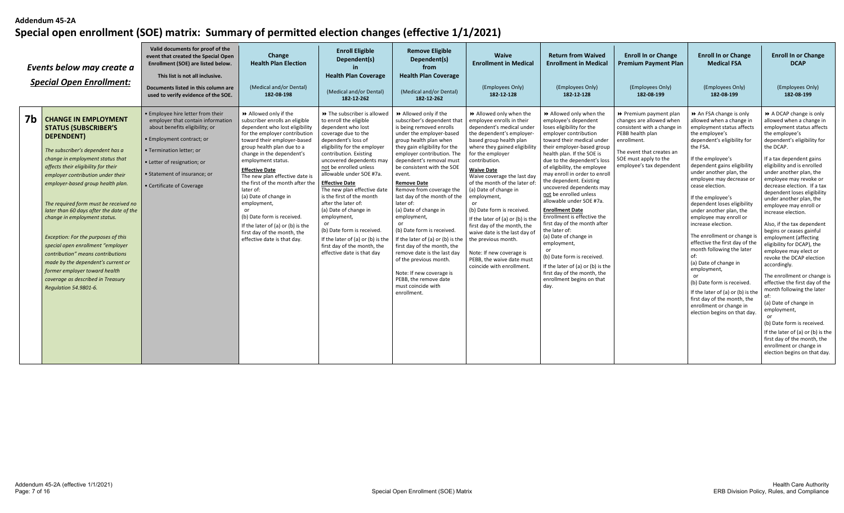|                | Events below may create a<br><b>Special Open Enrollment:</b>                                                                                                                                                                                                                                                                                                                                                                                                                                                                                                                                                                                 | Valid documents for proof of the<br>event that created the Special Open<br>Enrollment (SOE) are listed below.<br>This list is not all inclusive.<br>Documents listed in this column are<br>used to verify evidence of the SOE.                                | Change<br><b>Health Plan Election</b><br>(Medical and/or Dental)<br>182-08-198                                                                                                                                                                                                                                                                                                                                                                                                                                                | <b>Enroll Eligible</b><br>Dependent(s)<br><b>Health Plan Coverage</b><br>(Medical and/or Dental)<br>182-12-262                                                                                                                                                                                                                                                                                                                                                                                                                                           | <b>Remove Eligible</b><br>Dependent(s)<br>from<br><b>Health Plan Coverage</b><br>(Medical and/or Dental)<br>182-12-262                                                                                                                                                                                                                                                                                                                                                                                                                                                                                                                                             | Waive<br><b>Enrollment in Medical</b><br>(Employees Only)<br>182-12-128                                                                                                                                                                                                                                                                                                                                                                                                                                                                                                                     | <b>Return from Waived</b><br><b>Enrollment in Medical</b><br>(Employees Only)<br>182-12-128                                                                                                                                                                                                                                                                                                                                                                                                                                                                                                                                                                                                         | <b>Enroll In or Change</b><br><b>Premium Payment Plan</b><br>(Employees Only)<br>182-08-199                                                                                                            | <b>Enroll In or Change</b><br><b>Medical FSA</b><br>(Employees Only)<br>182-08-199                                                                                                                                                                                                                                                                                                                                                                                                                                                                                                                                                                                                                                       | <b>Enroll In or Change</b><br><b>DCAP</b><br>(Employees Only)<br>182-08-199                                                                                                                                                                                                                                                                                                                                                                                                                                                                                                                                                                                                                                                                                                                                                                                                                    |
|----------------|----------------------------------------------------------------------------------------------------------------------------------------------------------------------------------------------------------------------------------------------------------------------------------------------------------------------------------------------------------------------------------------------------------------------------------------------------------------------------------------------------------------------------------------------------------------------------------------------------------------------------------------------|---------------------------------------------------------------------------------------------------------------------------------------------------------------------------------------------------------------------------------------------------------------|-------------------------------------------------------------------------------------------------------------------------------------------------------------------------------------------------------------------------------------------------------------------------------------------------------------------------------------------------------------------------------------------------------------------------------------------------------------------------------------------------------------------------------|----------------------------------------------------------------------------------------------------------------------------------------------------------------------------------------------------------------------------------------------------------------------------------------------------------------------------------------------------------------------------------------------------------------------------------------------------------------------------------------------------------------------------------------------------------|--------------------------------------------------------------------------------------------------------------------------------------------------------------------------------------------------------------------------------------------------------------------------------------------------------------------------------------------------------------------------------------------------------------------------------------------------------------------------------------------------------------------------------------------------------------------------------------------------------------------------------------------------------------------|---------------------------------------------------------------------------------------------------------------------------------------------------------------------------------------------------------------------------------------------------------------------------------------------------------------------------------------------------------------------------------------------------------------------------------------------------------------------------------------------------------------------------------------------------------------------------------------------|-----------------------------------------------------------------------------------------------------------------------------------------------------------------------------------------------------------------------------------------------------------------------------------------------------------------------------------------------------------------------------------------------------------------------------------------------------------------------------------------------------------------------------------------------------------------------------------------------------------------------------------------------------------------------------------------------------|--------------------------------------------------------------------------------------------------------------------------------------------------------------------------------------------------------|--------------------------------------------------------------------------------------------------------------------------------------------------------------------------------------------------------------------------------------------------------------------------------------------------------------------------------------------------------------------------------------------------------------------------------------------------------------------------------------------------------------------------------------------------------------------------------------------------------------------------------------------------------------------------------------------------------------------------|------------------------------------------------------------------------------------------------------------------------------------------------------------------------------------------------------------------------------------------------------------------------------------------------------------------------------------------------------------------------------------------------------------------------------------------------------------------------------------------------------------------------------------------------------------------------------------------------------------------------------------------------------------------------------------------------------------------------------------------------------------------------------------------------------------------------------------------------------------------------------------------------|
| 7 <sub>b</sub> | <b>CHANGE IN EMPLOYMENT</b><br><b>STATUS (SUBSCRIBER'S</b><br>DEPENDENT)<br>The subscriber's dependent has a<br>change in employment status that<br>affects their eligibility for their<br>employer contribution under their<br>employer-based group health plan.<br>The required form must be received no<br>later than 60 days after the date of the<br>change in employment status.<br>Exception: For the purposes of this<br>special open enrollment "employer<br>contribution" means contributions<br>made by the dependent's current or<br>former employer toward health<br>coverage as described in Treasury<br>Regulation 54.9801-6. | • Employee hire letter from their<br>employer that contain information<br>about benefits eligibility; or<br>· Employment contract; or<br>· Termination letter; or<br>• Letter of resignation; or<br>• Statement of insurance; or<br>• Certificate of Coverage | Allowed only if the<br>subscriber enrolls an eligible<br>dependent who lost eligibility<br>for the employer contribution<br>toward their employer-based<br>group health plan due to a<br>change in the dependent's<br>employment status.<br><b>Effective Date</b><br>The new plan effective date is<br>the first of the month after the<br>later of:<br>(a) Date of change in<br>employment,<br>(b) Date form is received.<br>If the later of (a) or (b) is the<br>first day of the month, the<br>effective date is that day. | ▶ The subscriber is allowed<br>to enroll the eligible<br>dependent who lost<br>coverage due to the<br>dependent's loss of<br>eligibility for the employer<br>contribution. Existing<br>uncovered dependents may<br>not be enrolled unless<br>allowable under SOE #7a.<br><b>Effective Date</b><br>The new plan effective date<br>is the first of the month<br>after the later of:<br>(a) Date of change in<br>employment,<br>(b) Date form is received<br>If the later of (a) or (b) is the<br>first day of the month, the<br>effective date is that day | Allowed only if the<br>subscriber's dependent that<br>is being removed enrolls<br>under the employer-based<br>group health plan when<br>they gain eligibility for the<br>employer contribution. The<br>dependent's removal must<br>be consistent with the SOE<br>event.<br><b>Remove Date</b><br>Remove from coverage the<br>last day of the month of the<br>later of:<br>(a) Date of change in<br>employment,<br>(b) Date form is received<br>If the later of (a) or (b) is the<br>first day of the month, the<br>remove date is the last day<br>of the previous month.<br>Note: If new coverage is<br>PEBB, the remove date<br>must coincide with<br>enrollment. | >> Allowed only when the<br>employee enrolls in their<br>dependent's medical under<br>the dependent's employer<br>based group health plan<br>where they gained eligibility<br>for the employer<br>contribution.<br><b>Waive Date</b><br>Waive coverage the last day<br>of the month of the later of<br>(a) Date of change in<br>employment,<br>(b) Date form is received.<br>If the later of (a) or (b) is the<br>first day of the month, the<br>waive date is the last day of<br>the previous month.<br>Note: If new coverage is<br>PEBB, the waive date must<br>coincide with enrollment. | Allowed only when the<br>employee's dependent<br>loses eligibility for the<br>employer contribution<br>toward their medical under<br>their employer-based group<br>health plan. If the SOE is<br>due to the dependent's loss<br>of eligibility, the employee<br>may enroll in order to enroll<br>the dependent. Existing<br>uncovered dependents may<br>not be enrolled unless<br>allowable under SOE #7a.<br><b>Enrollment Date</b><br>Enrollment is effective the<br>first day of the month after<br>the later of:<br>(a) Date of change in<br>employment,<br>(b) Date form is received.<br>If the later of (a) or (b) is the<br>first day of the month, the<br>enrollment begins on that<br>day. | ▶ Premium payment plan<br>changes are allowed when<br>consistent with a change in<br>PEBB health plan<br>enrollment.<br>The event that creates an<br>SOE must apply to the<br>employee's tax dependent | An FSA change is only<br>allowed when a change in<br>employment status affects<br>the employee's<br>dependent's eligibility for<br>the FSA.<br>If the employee's<br>dependent gains eligibility<br>under another plan, the<br>employee may decrease or<br>cease election.<br>If the employee's<br>dependent loses eligibility<br>under another plan, the<br>employee may enroll or<br>increase election.<br>The enrollment or change is<br>effective the first day of the<br>month following the later<br>of:<br>(a) Date of change in<br>employment,<br>or<br>(b) Date form is received.<br>If the later of (a) or (b) is the<br>first day of the month, the<br>enrollment or change in<br>election begins on that day. | A DCAP change is only<br>allowed when a change in<br>employment status affects<br>the employee's<br>dependent's eligibility for<br>the DCAP.<br>If a tax dependent gains<br>eligibility and is enrolled<br>under another plan, the<br>employee may revoke or<br>decrease election. If a tax<br>dependent loses eligibility<br>under another plan, the<br>employee may enroll or<br>increase election.<br>Also, if the tax dependent<br>begins or ceases gainful<br>employment (affecting<br>eligibility for DCAP), the<br>employee may elect or<br>revoke the DCAP election<br>accordingly.<br>The enrollment or change is<br>effective the first day of the<br>month following the later<br>(a) Date of change in<br>employment,<br>(b) Date form is received.<br>If the later of (a) or (b) is the<br>first day of the month, the<br>enrollment or change in<br>election begins on that day. |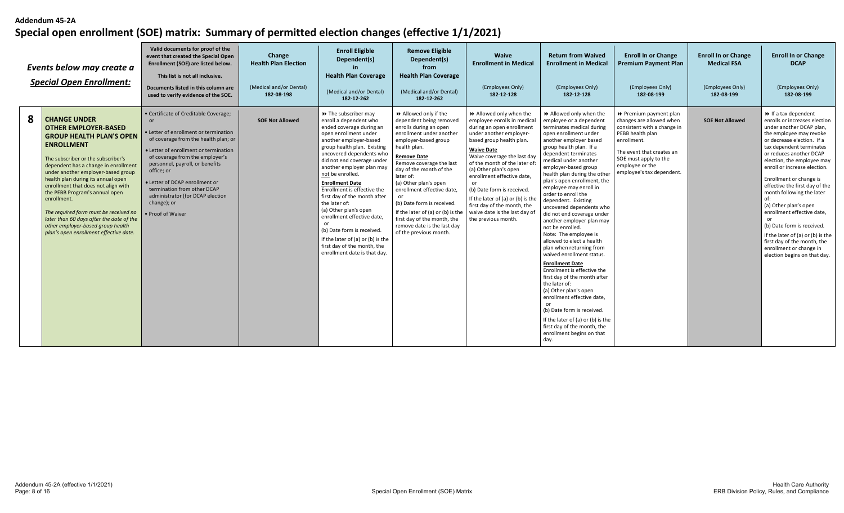|   | Events below may create a<br><b>Special Open Enrollment:</b>                                                                                                                                                                                                                                                                                                                                                                                                                                                                     | Valid documents for proof of the<br>event that created the Special Open<br>Enrollment (SOE) are listed below.<br>This list is not all inclusive.<br>Documents listed in this column are<br>used to verify evidence of the SOE.                                                                                                                                                                     | Change<br><b>Health Plan Election</b><br>(Medical and/or Dental)<br>182-08-198 | <b>Enroll Eligible</b><br>Dependent(s)<br><b>Health Plan Coverage</b><br>(Medical and/or Dental)<br>182-12-262                                                                                                                                                                                                                                                                                                                                                                                                                                                                   | <b>Remove Eligible</b><br>Dependent(s)<br>from<br><b>Health Plan Coverage</b><br>(Medical and/or Dental)<br>182-12-262                                                                                                                                                                                                                                                                                                                                     | Waive<br><b>Enrollment in Medical</b><br>(Employees Only)<br>182-12-128                                                                                                                                                                                                                                                                                                                                                                                      | <b>Return from Waived</b><br><b>Enrollment in Medical</b><br>(Employees Only)<br>182-12-128                                                                                                                                                                                                                                                                                                                                                                                                                                                                                                                                                                                                                                                                                                                                                                                                                         | <b>Enroll In or Change</b><br><b>Premium Payment Plan</b><br>(Employees Only)<br>182-08-199                                                                                                                                | <b>Enroll In or Change</b><br><b>Medical FSA</b><br>(Employees Only)<br>182-08-199 | <b>Enroll In or Change</b><br><b>DCAP</b><br>(Employees Only)<br>182-08-199                                                                                                                                                                                                                                                                                                                                                                                                                                                                                                                         |
|---|----------------------------------------------------------------------------------------------------------------------------------------------------------------------------------------------------------------------------------------------------------------------------------------------------------------------------------------------------------------------------------------------------------------------------------------------------------------------------------------------------------------------------------|----------------------------------------------------------------------------------------------------------------------------------------------------------------------------------------------------------------------------------------------------------------------------------------------------------------------------------------------------------------------------------------------------|--------------------------------------------------------------------------------|----------------------------------------------------------------------------------------------------------------------------------------------------------------------------------------------------------------------------------------------------------------------------------------------------------------------------------------------------------------------------------------------------------------------------------------------------------------------------------------------------------------------------------------------------------------------------------|------------------------------------------------------------------------------------------------------------------------------------------------------------------------------------------------------------------------------------------------------------------------------------------------------------------------------------------------------------------------------------------------------------------------------------------------------------|--------------------------------------------------------------------------------------------------------------------------------------------------------------------------------------------------------------------------------------------------------------------------------------------------------------------------------------------------------------------------------------------------------------------------------------------------------------|---------------------------------------------------------------------------------------------------------------------------------------------------------------------------------------------------------------------------------------------------------------------------------------------------------------------------------------------------------------------------------------------------------------------------------------------------------------------------------------------------------------------------------------------------------------------------------------------------------------------------------------------------------------------------------------------------------------------------------------------------------------------------------------------------------------------------------------------------------------------------------------------------------------------|----------------------------------------------------------------------------------------------------------------------------------------------------------------------------------------------------------------------------|------------------------------------------------------------------------------------|-----------------------------------------------------------------------------------------------------------------------------------------------------------------------------------------------------------------------------------------------------------------------------------------------------------------------------------------------------------------------------------------------------------------------------------------------------------------------------------------------------------------------------------------------------------------------------------------------------|
| 8 | <b>CHANGE UNDER</b><br><b>OTHER EMPLOYER-BASED</b><br><b>GROUP HEALTH PLAN'S OPEN</b><br><b>ENROLLMENT</b><br>The subscriber or the subscriber's<br>dependent has a change in enrollment<br>under another employer-based group<br>health plan during its annual open<br>enrollment that does not align with<br>the PEBB Program's annual open<br>enrollment.<br>The required form must be received no<br>later than 60 days after the date of the<br>other employer-based group health<br>plan's open enrollment effective date. | • Certificate of Creditable Coverage;<br>or<br>• Letter of enrollment or termination<br>of coverage from the health plan; or<br>• Letter of enrollment or termination<br>of coverage from the employer's<br>personnel, payroll, or benefits<br>office; or<br>• Letter of DCAP enrollment or<br>termination from other DCAP<br>administrator (for DCAP election<br>change); or<br>• Proof of Waiver | <b>SOE Not Allowed</b>                                                         | → The subscriber may<br>enroll a dependent who<br>ended coverage during an<br>open enrollment under<br>another employer-based<br>group health plan. Existing<br>uncovered dependents who<br>did not end coverage under<br>another employer plan may<br>not be enrolled.<br><b>Enrollment Date</b><br>Enrollment is effective the<br>first day of the month after<br>the later of:<br>(a) Other plan's open<br>enrollment effective date,<br>or<br>(b) Date form is received.<br>If the later of (a) or (b) is the<br>first day of the month, the<br>enrollment date is that day. | ▶ Allowed only if the<br>dependent being removed<br>enrolls during an open<br>enrollment under another<br>employer-based group<br>health plan.<br><b>Remove Date</b><br>Remove coverage the last<br>day of the month of the<br>later of:<br>(a) Other plan's open<br>enrollment effective date,<br>(b) Date form is received.<br>If the later of (a) or (b) is the<br>first day of the month, the<br>remove date is the last day<br>of the previous month. | >> Allowed only when the<br>employee enrolls in medical<br>during an open enrollment<br>under another employer-<br>based group health plan.<br><b>Waive Date</b><br>Waive coverage the last day<br>of the month of the later of<br>(a) Other plan's open<br>enrollment effective date,<br>$\alpha$<br>(b) Date form is received.<br>If the later of (a) or (b) is the<br>first day of the month, the<br>waive date is the last day of<br>the previous month. | Allowed only when the<br>employee or a dependent<br>terminates medical during<br>open enrollment under<br>another employer based<br>group health plan. If a<br>dependent terminates<br>medical under another<br>employer-based group<br>health plan during the other<br>plan's open enrollment, the<br>employee may enroll in<br>order to enroll the<br>dependent. Existing<br>uncovered dependents who<br>did not end coverage under<br>another employer plan may<br>not be enrolled.<br>Note: The employee is<br>allowed to elect a health<br>plan when returning from<br>waived enrollment status.<br><b>Enrollment Date</b><br>Enrollment is effective the<br>first day of the month after<br>the later of:<br>(a) Other plan's open<br>enrollment effective date.<br>or<br>(b) Date form is received.<br>If the later of (a) or (b) is the<br>first day of the month, the<br>enrollment begins on that<br>day. | ▶ Premium payment plan<br>changes are allowed when<br>consistent with a change in<br>PEBB health plan<br>enrollment.<br>The event that creates an<br>SOE must apply to the<br>employee or the<br>employee's tax dependent. | <b>SOE Not Allowed</b>                                                             | $\triangleright$ If a tax dependent<br>enrolls or increases election<br>under another DCAP plan,<br>the employee may revoke<br>or decrease election. If a<br>tax dependent terminates<br>or reduces another DCAP<br>election, the employee may<br>enroll or increase election.<br>Enrollment or change is<br>effective the first day of the<br>month following the later<br>of:<br>(a) Other plan's open<br>enrollment effective date,<br>(b) Date form is received.<br>If the later of (a) or (b) is the<br>first day of the month, the<br>enrollment or change in<br>election begins on that day. |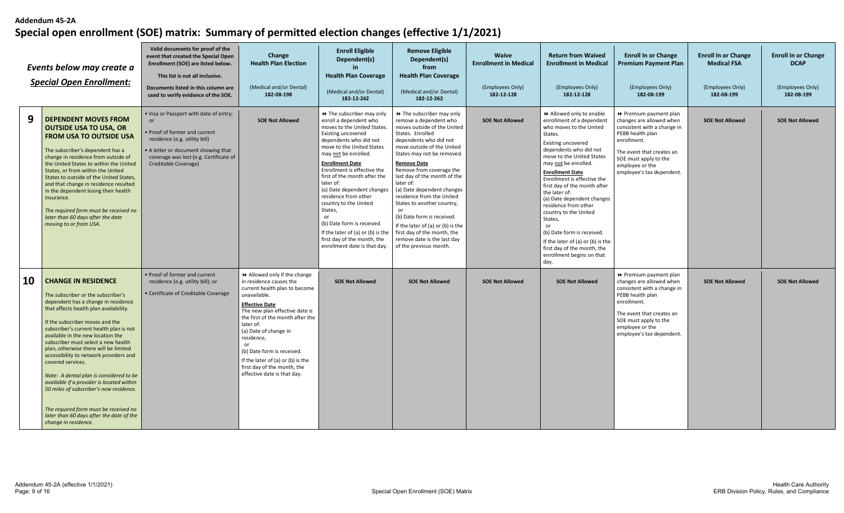|           | Events below may create a<br><b>Special Open Enrollment:</b>                                                                                                                                                                                                                                                                                                                                                                                                                                                                                                                                                                                                        | Valid documents for proof of the<br>event that created the Special Open<br>Enrollment (SOE) are listed below.<br>This list is not all inclusive.<br>Documents listed in this column are<br>used to verify evidence of the SOE. | Change<br><b>Health Plan Election</b><br>(Medical and/or Dental)<br>182-08-198                                                                                                                                                                                                                                                                                                                   | <b>Enroll Eligible</b><br>Dependent(s)<br>in.<br><b>Health Plan Coverage</b><br>(Medical and/or Dental)<br>182-12-262                                                                                                                                                                                                                                                                                                                                                                                                      | <b>Remove Eligible</b><br>Dependent(s)<br>from<br><b>Health Plan Coverage</b><br>(Medical and/or Dental)<br>182-12-262                                                                                                                                                                                                                                                                                                                                                                                                                                 | <b>Waive</b><br><b>Enrollment in Medical</b><br>(Employees Only)<br>182-12-128 | <b>Return from Waived</b><br><b>Enrollment in Medical</b><br>(Employees Only)<br>182-12-128                                                                                                                                                                                                                                                                                                                                                                                                                                                            | <b>Enroll In or Change</b><br>Premium Payment Plan<br>(Employees Only)<br>182-08-199                                                                                                                                       | <b>Enroll In or Change</b><br><b>Medical FSA</b><br>(Employees Only)<br>182-08-199 | <b>Enroll In or Change</b><br><b>DCAP</b><br>(Employees Only)<br>182-08-199 |
|-----------|---------------------------------------------------------------------------------------------------------------------------------------------------------------------------------------------------------------------------------------------------------------------------------------------------------------------------------------------------------------------------------------------------------------------------------------------------------------------------------------------------------------------------------------------------------------------------------------------------------------------------------------------------------------------|--------------------------------------------------------------------------------------------------------------------------------------------------------------------------------------------------------------------------------|--------------------------------------------------------------------------------------------------------------------------------------------------------------------------------------------------------------------------------------------------------------------------------------------------------------------------------------------------------------------------------------------------|----------------------------------------------------------------------------------------------------------------------------------------------------------------------------------------------------------------------------------------------------------------------------------------------------------------------------------------------------------------------------------------------------------------------------------------------------------------------------------------------------------------------------|--------------------------------------------------------------------------------------------------------------------------------------------------------------------------------------------------------------------------------------------------------------------------------------------------------------------------------------------------------------------------------------------------------------------------------------------------------------------------------------------------------------------------------------------------------|--------------------------------------------------------------------------------|--------------------------------------------------------------------------------------------------------------------------------------------------------------------------------------------------------------------------------------------------------------------------------------------------------------------------------------------------------------------------------------------------------------------------------------------------------------------------------------------------------------------------------------------------------|----------------------------------------------------------------------------------------------------------------------------------------------------------------------------------------------------------------------------|------------------------------------------------------------------------------------|-----------------------------------------------------------------------------|
| 9         | <b>DEPENDENT MOVES FROM</b><br><b>OUTSIDE USA TO USA, OR</b><br><b>FROM USA TO OUTSIDE USA</b><br>The subscriber's dependent has a<br>change in residence from outside of<br>the United States to within the United<br>States, or from within the United<br>States to outside of the United States,<br>and that change in residence resulted<br>in the dependent losing their health<br>insurance.<br>The required form must be received no<br>later than 60 days after the date<br>moving to or from USA.                                                                                                                                                          | . Visa or Passport with date of entry;<br><b>or</b><br>Proof of former and current<br>residence (e.g. utility bill)<br>• A letter or document showing that<br>coverage was lost (e.g. Certificate of<br>Creditable Coverage)   | <b>SOE Not Allowed</b>                                                                                                                                                                                                                                                                                                                                                                           | >> The subscriber may only<br>enroll a dependent who<br>moves to the United States.<br>Existing uncovered<br>dependents who did not<br>move to the United States<br>may not be enrolled.<br><b>Enrollment Date</b><br>Enrollment is effective the<br>first of the month after the<br>later of:<br>(a) Date dependent changes<br>residence from other<br>country to the United<br>States.<br>(b) Date form is received.<br>If the later of (a) or (b) is the<br>first day of the month, the<br>enrollment date is that day. | >> The subscriber may only<br>remove a dependent who<br>moves outside of the United<br>States. Enrolled<br>dependents who did not<br>move outside of the United<br>States may not be removed.<br><b>Remove Date</b><br>Remove from coverage the<br>last day of the month of the<br>later of:<br>(a) Date dependent changes<br>residence from the United<br>States to another country,<br>or<br>(b) Date form is received.<br>If the later of (a) or (b) is the<br>first day of the month, the<br>remove date is the last day<br>of the previous month. | <b>SOE Not Allowed</b>                                                         | Allowed only to enable<br>enrollment of a dependent<br>who moves to the United<br>States.<br><b>Existing uncovered</b><br>dependents who did not<br>move to the United States<br>may not be enrolled.<br><b>Enrollment Date</b><br>Enrollment is effective the<br>first day of the month after<br>the later of:<br>(a) Date dependent changes<br>residence from other<br>country to the United<br>States,<br>or<br>(b) Date form is received.<br>If the later of (a) or (b) is the<br>first day of the month, the<br>enrollment begins on that<br>day. | ▶ Premium payment plan<br>changes are allowed when<br>consistent with a change in<br>PEBB health plan<br>enrollment.<br>The event that creates an<br>SOE must apply to the<br>employee or the<br>employee's tax dependent. | <b>SOE Not Allowed</b>                                                             | <b>SOE Not Allowed</b>                                                      |
| <b>10</b> | <b>CHANGE IN RESIDENCE</b><br>The subscriber or the subscriber's<br>dependent has a change in residence<br>that affects health plan availability.<br>If the subscriber moves and the<br>subscriber's current health plan is not<br>available in the new location the<br>subscriber must select a new health<br>plan, otherwise there will be limited<br>accessibility to network providers and<br>covered services.<br>Note: A dental plan is considered to be<br>available if a provider is located within<br>50 miles of subscriber's new residence.<br>The required form must be received no<br>later than 60 days after the date of the<br>change in residence. | • Proof of former and current<br>residence (e.g. utility bill); or<br>• Certificate of Creditable Coverage                                                                                                                     | Allowed only if the change<br>in residence causes the<br>current health plan to become<br>unavailable.<br><b>Effective Date</b><br>The new plan effective date is<br>the first of the month after the<br>later of:<br>(a) Date of change in<br>residence,<br>or<br>(b) Date form is received.<br>If the later of (a) or (b) is the<br>first day of the month, the<br>effective date is that day. | <b>SOE Not Allowed</b>                                                                                                                                                                                                                                                                                                                                                                                                                                                                                                     | <b>SOE Not Allowed</b>                                                                                                                                                                                                                                                                                                                                                                                                                                                                                                                                 | <b>SOE Not Allowed</b>                                                         | <b>SOE Not Allowed</b>                                                                                                                                                                                                                                                                                                                                                                                                                                                                                                                                 | ▶ Premium payment plan<br>changes are allowed when<br>consistent with a change in<br>PEBB health plan<br>enrollment.<br>The event that creates an<br>SOE must apply to the<br>employee or the<br>employee's tax dependent. | <b>SOE Not Allowed</b>                                                             | <b>SOE Not Allowed</b>                                                      |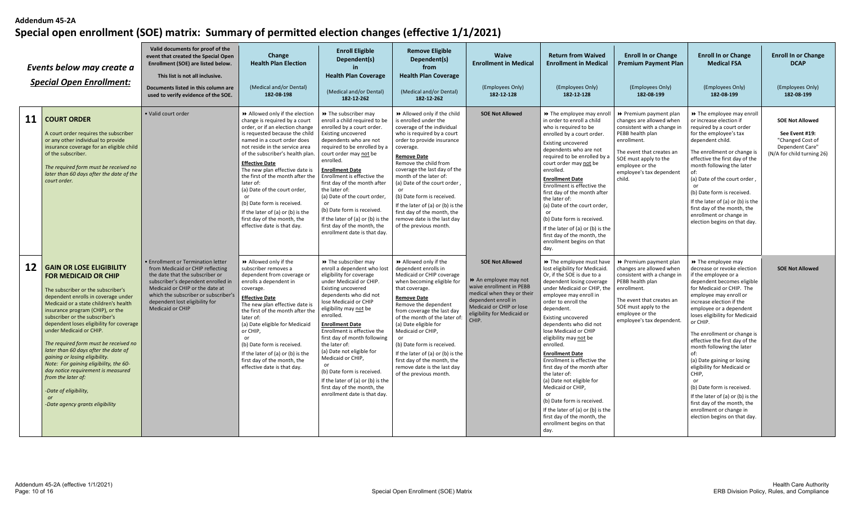|                 | Events below may create a<br><b>Special Open Enrollment:</b>                                                                                                                                                                                                                                                                                                                                                                                                                                                                                                                                                           | Valid documents for proof of the<br>event that created the Special Open<br>Enrollment (SOE) are listed below.<br>This list is not all inclusive.<br>Documents listed in this column are<br>used to verify evidence of the SOE.                                                          | Change<br><b>Health Plan Election</b><br>(Medical and/or Dental)<br>182-08-198                                                                                                                                                                                                                                                                                                                                                                                                                                             | <b>Enroll Eligible</b><br>Dependent(s)<br>in<br><b>Health Plan Coverage</b><br>(Medical and/or Dental)<br>182-12-262                                                                                                                                                                                                                                                                                                                                                                                                      | <b>Remove Eligible</b><br>Dependent(s)<br>from<br><b>Health Plan Coverage</b><br>(Medical and/or Dental)<br>182-12-262                                                                                                                                                                                                                                                                                                                                          | Waive<br><b>Enrollment in Medical</b><br>(Employees Only)<br>182-12-128                                                                                                                            | <b>Return from Waived</b><br><b>Enrollment in Medical</b><br>(Employees Only)<br>182-12-128                                                                                                                                                                                                                                                                                                                                                                                                                                                                                                                                            | <b>Enroll In or Change</b><br><b>Premium Payment Plan</b><br>(Employees Only)<br>182-08-199                                                                                                                                         | <b>Enroll In or Change</b><br><b>Medical FSA</b><br>(Employees Only)<br>182-08-199                                                                                                                                                                                                                                                                                                                                                                                                                                                                                                                                | <b>Enroll In or Change</b><br><b>DCAP</b><br>(Employees Only)<br>182-08-199                                   |
|-----------------|------------------------------------------------------------------------------------------------------------------------------------------------------------------------------------------------------------------------------------------------------------------------------------------------------------------------------------------------------------------------------------------------------------------------------------------------------------------------------------------------------------------------------------------------------------------------------------------------------------------------|-----------------------------------------------------------------------------------------------------------------------------------------------------------------------------------------------------------------------------------------------------------------------------------------|----------------------------------------------------------------------------------------------------------------------------------------------------------------------------------------------------------------------------------------------------------------------------------------------------------------------------------------------------------------------------------------------------------------------------------------------------------------------------------------------------------------------------|---------------------------------------------------------------------------------------------------------------------------------------------------------------------------------------------------------------------------------------------------------------------------------------------------------------------------------------------------------------------------------------------------------------------------------------------------------------------------------------------------------------------------|-----------------------------------------------------------------------------------------------------------------------------------------------------------------------------------------------------------------------------------------------------------------------------------------------------------------------------------------------------------------------------------------------------------------------------------------------------------------|----------------------------------------------------------------------------------------------------------------------------------------------------------------------------------------------------|----------------------------------------------------------------------------------------------------------------------------------------------------------------------------------------------------------------------------------------------------------------------------------------------------------------------------------------------------------------------------------------------------------------------------------------------------------------------------------------------------------------------------------------------------------------------------------------------------------------------------------------|-------------------------------------------------------------------------------------------------------------------------------------------------------------------------------------------------------------------------------------|-------------------------------------------------------------------------------------------------------------------------------------------------------------------------------------------------------------------------------------------------------------------------------------------------------------------------------------------------------------------------------------------------------------------------------------------------------------------------------------------------------------------------------------------------------------------------------------------------------------------|---------------------------------------------------------------------------------------------------------------|
| 11              | <b>COURT ORDER</b><br>A court order requires the subscriber<br>or any other individual to provide<br>insurance coverage for an eligible child<br>of the subscriber.<br>The required form must be received no<br>later than 60 days after the date of the<br>court order.                                                                                                                                                                                                                                                                                                                                               | · Valid court order                                                                                                                                                                                                                                                                     | Allowed only if the election<br>change is required by a court<br>order, or if an election change<br>is requested because the child<br>named in a court order does<br>not reside in the service area<br>of the subscriber's health plan.<br><b>Effective Date</b><br>The new plan effective date is<br>the first of the month after the<br>later of:<br>(a) Date of the court order,<br>or<br>(b) Date form is received.<br>If the later of (a) or (b) is the<br>first day of the month, the<br>effective date is that day. | >> The subscriber may<br>enroll a child required to be<br>enrolled by a court order.<br>Existing uncovered<br>dependents who are not<br>required to be enrolled by a<br>court order may not be<br>enrolled.<br><b>Enrollment Date</b><br>Enrollment is effective the<br>first day of the month after<br>the later of:<br>(a) Date of the court order,<br>$\alpha$ r<br>(b) Date form is received.<br>If the later of (a) or (b) is the<br>first day of the month, the<br>enrollment date is that day.                     | >> Allowed only if the child<br>is enrolled under the<br>coverage of the individual<br>who is required by a court<br>order to provide insurance<br>coverage.<br><b>Remove Date</b><br>Remove the child from<br>coverage the last day of the<br>month of the later of:<br>(a) Date of the court order<br>(b) Date form is received.<br>If the later of (a) or (b) is the<br>first day of the month, the<br>remove date is the last day<br>of the previous month. | <b>SOE Not Allowed</b>                                                                                                                                                                             | → The employee may enroll<br>in order to enroll a child<br>who is required to be<br>enrolled by a court order.<br><b>Existing uncovered</b><br>dependents who are not<br>required to be enrolled by a<br>court order may not be<br>enrolled.<br><b>Enrollment Date</b><br>Enrollment is effective the<br>first day of the month after<br>the later of:<br>(a) Date of the court order,<br>$\alpha$<br>(b) Date form is received.<br>If the later of (a) or (b) is the<br>first day of the month, the<br>enrollment begins on that<br>day.                                                                                              | ▶ Premium payment plan<br>changes are allowed when<br>consistent with a change in<br>PEBB health plan<br>enrollment.<br>The event that creates an<br>SOE must apply to the<br>employee or the<br>employee's tax dependent<br>child. | >> The employee may enroll<br>or increase election if<br>required by a court order<br>for the employee's tax<br>dependent child.<br>The enrollment or change is<br>effective the first day of the<br>month following the later<br>of:<br>(a) Date of the court order<br>or<br>(b) Date form is received.<br>If the later of (a) or (b) is the<br>first day of the month, the<br>enrollment or change in<br>election begins on that day.                                                                                                                                                                           | <b>SOE Not Allowed</b><br>See Event #19:<br>"Changed Cost of<br>Dependent Care"<br>(N/A for child turning 26) |
| 12 <sup>2</sup> | <b>GAIN OR LOSE ELIGIBILITY</b><br><b>FOR MEDICAID OR CHIP</b><br>The subscriber or the subscriber's<br>dependent enrolls in coverage under<br>Medicaid or a state children's health<br>insurance program (CHIP), or the<br>subscriber or the subscriber's<br>dependent loses eligibility for coverage<br>under Medicaid or CHIP.<br>The required form must be received no<br>later than 60 days after the date of<br>gaining or losing eligibility.<br>Note: For gaining eligibility, the 60-<br>day notice requirement is measured<br>from the later of:<br>-Date of eligibility,<br>-Date agency grants eligibility | <b>• Enrollment or Termination letter</b><br>from Medicaid or CHIP reflecting<br>the date that the subscriber or<br>subscriber's dependent enrolled in<br>Medicaid or CHIP or the date at<br>which the subscriber or subscriber's<br>dependent lost eligibility for<br>Medicaid or CHIP | Allowed only if the<br>subscriber removes a<br>dependent from coverage or<br>enrolls a dependent in<br>coverage.<br><b>Effective Date</b><br>The new plan effective date is<br>the first of the month after the<br>later of:<br>(a) Date eligible for Medicaid<br>or CHIP,<br>or<br>(b) Date form is received.<br>If the later of (a) or (b) is the<br>first day of the month, the<br>effective date is that day.                                                                                                          | >> The subscriber may<br>enroll a dependent who lost<br>eligibility for coverage<br>under Medicaid or CHIP.<br>Existing uncovered<br>dependents who did not<br>lose Medicaid or CHIP<br>eligibility may not be<br>enrolled.<br><b>Enrollment Date</b><br>Enrollment is effective the<br>first day of month following<br>the later of:<br>(a) Date not eligible for<br>Medicaid or CHIP,<br>(b) Date form is received.<br>If the later of (a) or (b) is the<br>first day of the month, the<br>enrollment date is that day. | >> Allowed only if the<br>dependent enrolls in<br>Medicaid or CHIP coverage<br>when becoming eligible for<br>that coverage.<br><b>Remove Date</b><br>Remove the dependent<br>from coverage the last day<br>of the month of the later of:<br>(a) Date eligible for<br>Medicaid or CHIP,<br>or<br>(b) Date form is received.<br>If the later of (a) or (b) is the<br>first day of the month, the<br>remove date is the last day<br>of the previous month.         | <b>SOE Not Allowed</b><br>An employee may not<br>waive enrollment in PEBB<br>medical when they or their<br>dependent enroll in<br>Medicaid or CHIP or lose<br>eligibility for Medicaid or<br>CHIP. | → The employee must have<br>lost eligibility for Medicaid.<br>Or, if the SOE is due to a<br>dependent losing coverage<br>under Medicaid or CHIP, the<br>employee may enroll in<br>order to enroll the<br>dependent.<br>Existing uncovered<br>dependents who did not<br>lose Medicaid or CHIP<br>eligibility may not be<br>enrolled.<br><b>Enrollment Date</b><br>Enrollment is effective the<br>first day of the month after<br>the later of:<br>(a) Date not eligible for<br>Medicaid or CHIP,<br>(b) Date form is received.<br>If the later of (a) or (b) is the<br>first day of the month, the<br>enrollment begins on that<br>day. | Premium payment plan<br>changes are allowed when<br>consistent with a change in<br>PEBB health plan<br>enrollment.<br>The event that creates an<br>SOE must apply to the<br>employee or the<br>employee's tax dependent.            | >> The employee may<br>decrease or revoke election<br>if the employee or a<br>dependent becomes eligible<br>for Medicaid or CHIP. The<br>employee may enroll or<br>increase election if the<br>employee or a dependent<br>loses eligibility for Medicaid<br>or CHIP.<br>The enrollment or change is<br>effective the first day of the<br>month following the later<br>of:<br>(a) Date gaining or losing<br>eligibility for Medicaid or<br>CHIP,<br>or<br>(b) Date form is received<br>If the later of (a) or (b) is the<br>first day of the month, the<br>enrollment or change in<br>election begins on that day. | <b>SOE Not Allowed</b>                                                                                        |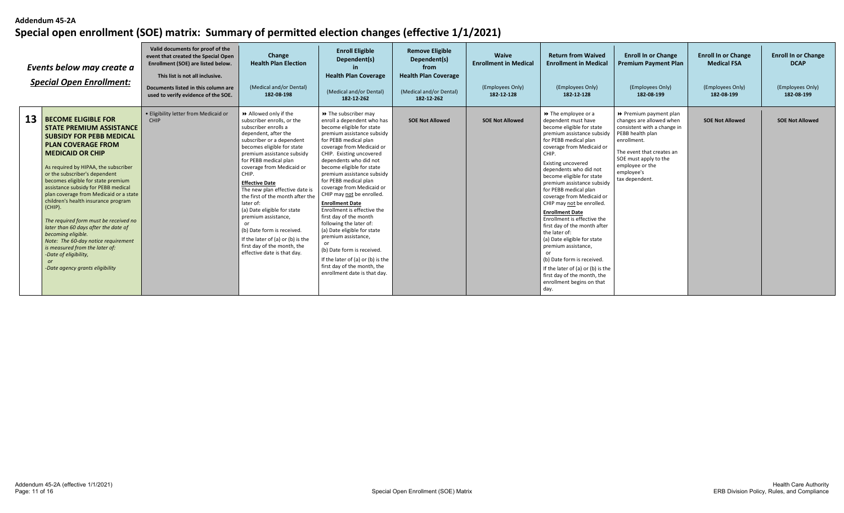|    | Events below may create a<br><b>Special Open Enrollment:</b>                                                                                                                                                                                                                                                                                                                                                                                                                                                                                                                                                                                                        | Valid documents for proof of the<br>event that created the Special Open<br>Enrollment (SOE) are listed below.<br>This list is not all inclusive.<br>Documents listed in this column are<br>used to verify evidence of the SOE. | Change<br><b>Health Plan Election</b><br>(Medical and/or Dental)<br>182-08-198                                                                                                                                                                                                                                                                                                                                                                                                                                                                               | <b>Enroll Eligible</b><br>Dependent(s)<br><b>Health Plan Coverage</b><br>(Medical and/or Dental)<br>182-12-262                                                                                                                                                                                                                                                                                                                                                                                                                                                                                                                                                                       | <b>Remove Eligible</b><br>Dependent(s)<br>from<br><b>Health Plan Coverage</b><br>(Medical and/or Dental)<br>182-12-262 | Waive<br><b>Enrollment in Medical</b><br>(Employees Only)<br>182-12-128 | <b>Return from Waived</b><br><b>Enrollment in Medical</b><br>(Employees Only)<br>182-12-128                                                                                                                                                                                                                                                                                                                                                                                                                                                                                                                                                                                                 | <b>Enroll In or Change</b><br><b>Premium Payment Plan</b><br>(Employees Only)<br>182-08-199                                                                                                                                   | <b>Enroll In or Change</b><br><b>Medical FSA</b><br>(Employees Only)<br>182-08-199 | <b>Enroll In or Change</b><br><b>DCAP</b><br>(Employees Only)<br>182-08-199 |
|----|---------------------------------------------------------------------------------------------------------------------------------------------------------------------------------------------------------------------------------------------------------------------------------------------------------------------------------------------------------------------------------------------------------------------------------------------------------------------------------------------------------------------------------------------------------------------------------------------------------------------------------------------------------------------|--------------------------------------------------------------------------------------------------------------------------------------------------------------------------------------------------------------------------------|--------------------------------------------------------------------------------------------------------------------------------------------------------------------------------------------------------------------------------------------------------------------------------------------------------------------------------------------------------------------------------------------------------------------------------------------------------------------------------------------------------------------------------------------------------------|--------------------------------------------------------------------------------------------------------------------------------------------------------------------------------------------------------------------------------------------------------------------------------------------------------------------------------------------------------------------------------------------------------------------------------------------------------------------------------------------------------------------------------------------------------------------------------------------------------------------------------------------------------------------------------------|------------------------------------------------------------------------------------------------------------------------|-------------------------------------------------------------------------|---------------------------------------------------------------------------------------------------------------------------------------------------------------------------------------------------------------------------------------------------------------------------------------------------------------------------------------------------------------------------------------------------------------------------------------------------------------------------------------------------------------------------------------------------------------------------------------------------------------------------------------------------------------------------------------------|-------------------------------------------------------------------------------------------------------------------------------------------------------------------------------------------------------------------------------|------------------------------------------------------------------------------------|-----------------------------------------------------------------------------|
| 13 | <b>BECOME ELIGIBLE FOR</b><br><b>STATE PREMIUM ASSISTANCE</b><br><b>SUBSIDY FOR PEBB MEDICAL</b><br><b>PLAN COVERAGE FROM</b><br><b>MEDICAID OR CHIP</b><br>As required by HIPAA, the subscriber<br>or the subscriber's dependent<br>becomes eligible for state premium<br>assistance subsidy for PEBB medical<br>plan coverage from Medicaid or a state<br>children's health insurance program<br>(CHIP).<br>The required form must be received no<br>later than 60 days after the date of<br>becomina eligible.<br>Note: The 60-day notice requirement<br>is measured from the later of:<br>-Date of eligibility,<br><b>or</b><br>-Date agency grants eligibility | · Eligibility letter from Medicaid or<br>CHIP                                                                                                                                                                                  | Allowed only if the<br>subscriber enrolls, or the<br>subscriber enrolls a<br>dependent, after the<br>subscriber or a dependent<br>becomes eligible for state<br>premium assistance subsidy<br>for PEBB medical plan<br>coverage from Medicaid or<br>CHIP.<br><b>Effective Date</b><br>The new plan effective date is<br>the first of the month after the<br>later of:<br>(a) Date eligible for state<br>premium assistance,<br>(b) Date form is received.<br>If the later of (a) or (b) is the<br>first day of the month, the<br>effective date is that day. | >> The subscriber may<br>enroll a dependent who has<br>become eligible for state<br>premium assistance subsidy<br>for PEBB medical plan<br>coverage from Medicaid or<br>CHIP. Existing uncovered<br>dependents who did not<br>become eligible for state<br>premium assistance subsidy<br>for PEBB medical plan<br>coverage from Medicaid or<br>CHIP may not be enrolled.<br><b>Enrollment Date</b><br>Enrollment is effective the<br>first day of the month<br>following the later of:<br>(a) Date eligible for state<br>premium assistance,<br>or<br>(b) Date form is received.<br>If the later of (a) or (b) is the<br>first day of the month, the<br>enrollment date is that day. | <b>SOE Not Allowed</b>                                                                                                 | <b>SOE Not Allowed</b>                                                  | $\rightarrow$ The employee or a<br>dependent must have<br>become eligible for state<br>premium assistance subsidy<br>for PEBB medical plan<br>coverage from Medicaid or<br>CHIP.<br>Existing uncovered<br>dependents who did not<br>become eligible for state<br>premium assistance subsidy<br>for PEBB medical plan<br>coverage from Medicaid or<br>CHIP may not be enrolled.<br><b>Enrollment Date</b><br>Enrollment is effective the<br>first day of the month after<br>the later of:<br>(a) Date eligible for state<br>premium assistance,<br>or<br>(b) Date form is received.<br>If the later of (a) or (b) is the<br>first day of the month, the<br>enrollment begins on that<br>day. | ▶ Premium payment plan<br>changes are allowed when<br>consistent with a change in<br>PEBB health plan<br>enrollment.<br>The event that creates an<br>SOE must apply to the<br>employee or the<br>employee's<br>tax dependent. | <b>SOE Not Allowed</b>                                                             | <b>SOE Not Allowed</b>                                                      |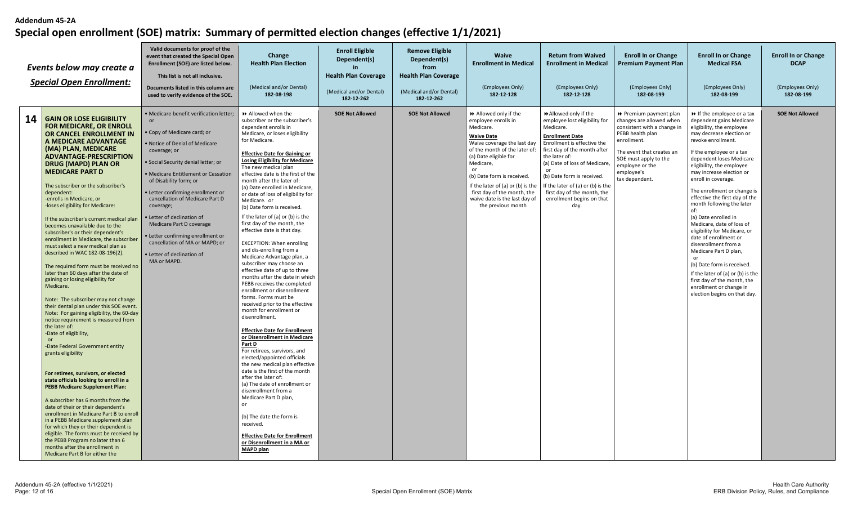|    | Events below may create a<br><b>Special Open Enrollment:</b>                                                                                                                                                                                                                                                                                                                                                                                                                                                                                                                                                                                                                                                                                                                                                                                                                                                                                                                                                                                                                                                                                                                                                                                                                                                                                                                                                                                                                                                 | Valid documents for proof of the<br>event that created the Special Open<br>Enrollment (SOE) are listed below.<br>This list is not all inclusive.<br>Documents listed in this column are<br>used to verify evidence of the SOE.                                                                                                                                                                                                                                                                             | Change<br><b>Health Plan Election</b><br>(Medical and/or Dental)<br>182-08-198                                                                                                                                                                                                                                                                                                                                                                                                                                                                                                                                                                                                                                                                                                                                                                                                                                                                                                                                                                                                                                                                                                                                                                                                                                                                                                 | <b>Enroll Eligible</b><br>Dependent(s)<br>in.<br><b>Health Plan Coverage</b><br>(Medical and/or Dental)<br>182-12-262 | <b>Remove Eligible</b><br>Dependent(s)<br>from<br><b>Health Plan Coverage</b><br>(Medical and/or Dental)<br>182-12-262 | <b>Waive</b><br><b>Enrollment in Medical</b><br>(Employees Only)<br>182-12-128                                                                                                                                                                                                                                                                 | <b>Return from Waived</b><br><b>Enrollment in Medical</b><br>(Employees Only)<br>182-12-128                                                                                                                                                                                                                                                        | <b>Enroll In or Change</b><br>Premium Payment Plan<br>(Employees Only)<br>182-08-199                                                                                                                                          | <b>Enroll In or Change</b><br><b>Medical FSA</b><br>(Employees Only)<br>182-08-199                                                                                                                                                                                                                                                                                                                                                                                                                                                                                                                                                                                                                                               | <b>Enroll In or Change</b><br><b>DCAP</b><br>(Employees Only)<br>182-08-199 |
|----|--------------------------------------------------------------------------------------------------------------------------------------------------------------------------------------------------------------------------------------------------------------------------------------------------------------------------------------------------------------------------------------------------------------------------------------------------------------------------------------------------------------------------------------------------------------------------------------------------------------------------------------------------------------------------------------------------------------------------------------------------------------------------------------------------------------------------------------------------------------------------------------------------------------------------------------------------------------------------------------------------------------------------------------------------------------------------------------------------------------------------------------------------------------------------------------------------------------------------------------------------------------------------------------------------------------------------------------------------------------------------------------------------------------------------------------------------------------------------------------------------------------|------------------------------------------------------------------------------------------------------------------------------------------------------------------------------------------------------------------------------------------------------------------------------------------------------------------------------------------------------------------------------------------------------------------------------------------------------------------------------------------------------------|--------------------------------------------------------------------------------------------------------------------------------------------------------------------------------------------------------------------------------------------------------------------------------------------------------------------------------------------------------------------------------------------------------------------------------------------------------------------------------------------------------------------------------------------------------------------------------------------------------------------------------------------------------------------------------------------------------------------------------------------------------------------------------------------------------------------------------------------------------------------------------------------------------------------------------------------------------------------------------------------------------------------------------------------------------------------------------------------------------------------------------------------------------------------------------------------------------------------------------------------------------------------------------------------------------------------------------------------------------------------------------|-----------------------------------------------------------------------------------------------------------------------|------------------------------------------------------------------------------------------------------------------------|------------------------------------------------------------------------------------------------------------------------------------------------------------------------------------------------------------------------------------------------------------------------------------------------------------------------------------------------|----------------------------------------------------------------------------------------------------------------------------------------------------------------------------------------------------------------------------------------------------------------------------------------------------------------------------------------------------|-------------------------------------------------------------------------------------------------------------------------------------------------------------------------------------------------------------------------------|----------------------------------------------------------------------------------------------------------------------------------------------------------------------------------------------------------------------------------------------------------------------------------------------------------------------------------------------------------------------------------------------------------------------------------------------------------------------------------------------------------------------------------------------------------------------------------------------------------------------------------------------------------------------------------------------------------------------------------|-----------------------------------------------------------------------------|
| 14 | <b>GAIN OR LOSE ELIGIBILITY</b><br><b>FOR MEDICARE, OR ENROLL</b><br>OR CANCEL ENROLLMENT IN<br>A MEDICARE ADVANTAGE<br>(MA) PLAN. MEDICARE<br><b>ADVANTAGE-PRESCRIPTION</b><br>DRUG (MAPD) PLAN OR<br><b>MEDICARE PART D</b><br>The subscriber or the subscriber's<br>dependent:<br>-enrolls in Medicare, or<br>loses eligibility for Medicare:<br>If the subscriber's current medical plan<br>becomes unavailable due to the<br>subscriber's or their dependent's<br>enrollment in Medicare, the subscriber<br>must select a new medical plan as<br>described in WAC 182-08-196(2).<br>The required form must be received no<br>later than 60 days after the date of<br>gaining or losing eligibility for<br>Medicare.<br>Note: The subscriber may not change<br>their dental plan under this SOE event.<br>Note: For gaining eligibility, the 60-day<br>notice requirement is measured from<br>the later of:<br>-Date of eligibility,<br>$\alpha$ <sup>r</sup><br>-Date Federal Government entity<br>grants eligibility<br>For retirees, survivors, or elected<br>state officials looking to enroll in a<br><b>PEBB Medicare Supplement Plan:</b><br>A subscriber has 6 months from the<br>date of their or their dependent's<br>enrollment in Medicare Part B to enroll<br>in a PEBB Medicare supplement plan<br>for which they or their dependent is<br>eligible. The forms must be received by<br>the PEBB Program no later than 6<br>months after the enrollment in<br>Medicare Part B for either the | · Medicare benefit verification letter;<br><b>or</b><br>Copy of Medicare card; or<br>Notice of Denial of Medicare<br>coverage; or<br>· Social Security denial letter; or<br>• Medicare Entitlement or Cessation<br>of Disability form; or<br>• Letter confirming enrollment or<br>cancellation of Medicare Part D<br>coverage;<br>Letter of declination of<br>Medicare Part D coverage<br>· Letter confirming enrollment or<br>cancellation of MA or MAPD: or<br>• Letter of declination of<br>MA or MAPD. | Allowed when the<br>subscriber or the subscriber's<br>dependent enrolls in<br>Medicare, or loses eligibility<br>for Medicare.<br><b>Effective Date for Gaining or</b><br><b>Losing Eligibility for Medicare</b><br>The new medical plan<br>effective date is the first of the<br>month after the later of:<br>(a) Date enrolled in Medicare,<br>or date of loss of eligibility for<br>Medicare. or<br>(b) Date form is received.<br>If the later of (a) or (b) is the<br>first day of the month, the<br>effective date is that day.<br><b>EXCEPTION: When enrolling</b><br>and dis-enrolling from a<br>Medicare Advantage plan, a<br>subscriber may choose an<br>effective date of up to three<br>months after the date in which<br>PEBB receives the completed<br>enrollment or disenrollment<br>forms. Forms must be<br>received prior to the effective<br>month for enrollment or<br>disenrollment.<br><b>Effective Date for Enrollment</b><br>or Disenrollment in Medicare<br>Part D<br>For retirees, survivors, and<br>elected/appointed officials<br>the new medical plan effective<br>date is the first of the month<br>after the later of:<br>(a) The date of enrollment or<br>disenrollment from a<br>Medicare Part D plan,<br>or<br>(b) The date the form is<br>received.<br><b>Effective Date for Enrollment</b><br>or Disenrollment in a MA or<br><b>MAPD plan</b> | <b>SOE Not Allowed</b>                                                                                                | <b>SOE Not Allowed</b>                                                                                                 | >> Allowed only if the<br>employee enrolls in<br>Medicare.<br><b>Waive Date</b><br>Waive coverage the last day<br>of the month of the later of:<br>(a) Date eligible for<br>Medicare,<br>(b) Date form is received.<br>If the later of (a) or (b) is the<br>first day of the month, the<br>waive date is the last day of<br>the previous month | Allowed only if the<br>employee lost eligibility for<br>Medicare.<br><b>Enrollment Date</b><br>Enrollment is effective the<br>first day of the month after<br>the later of:<br>(a) Date of loss of Medicare<br>(b) Date form is received.<br>If the later of (a) or (b) is the<br>first day of the month, the<br>enrollment begins on that<br>day. | ▶ Premium payment plan<br>changes are allowed when<br>consistent with a change in<br>PEBB health plan<br>enrollment.<br>The event that creates an<br>SOE must apply to the<br>employee or the<br>employee's<br>tax dependent. | $\rightarrow$ If the employee or a tax<br>dependent gains Medicare<br>eligibility, the employee<br>may decrease election or<br>revoke enrollment.<br>If the employee or a tax<br>dependent loses Medicare<br>eligibility, the employee<br>may increase election or<br>enroll in coverage.<br>The enrollment or change is<br>effective the first day of the<br>month following the later<br>of:<br>(a) Date enrolled in<br>Medicare, date of loss of<br>eligibility for Medicare, or<br>date of enrollment or<br>disenrollment from a<br>Medicare Part D plan,<br>or<br>(b) Date form is received.<br>If the later of (a) or (b) is the<br>first day of the month, the<br>enrollment or change in<br>election begins on that day. | <b>SOE Not Allowed</b>                                                      |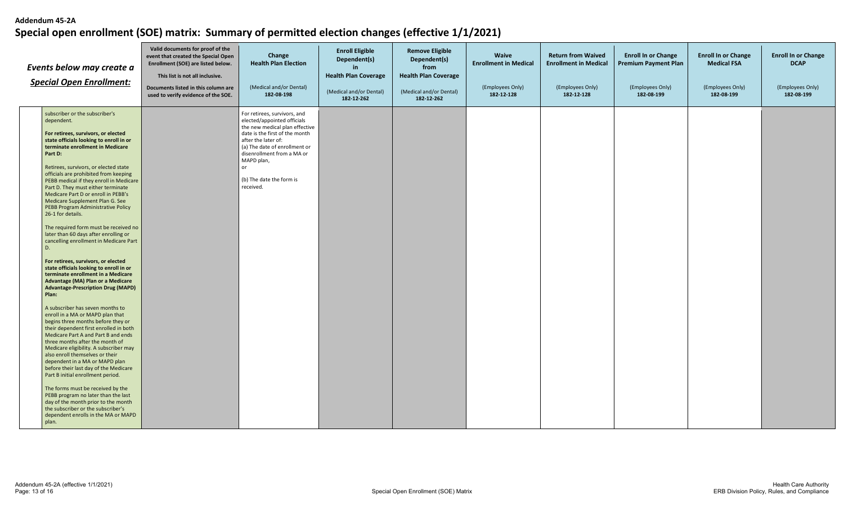| Events below may create a<br><b>Special Open Enrollment:</b> |                                                                                                                                                                                                                                                                                                                                                                                                                                                                                                                                                                                                                                                                                                                                                                                                                                                                                                                                                                                                                                                                                                                                                                                                                                                                                                                                                              | Valid documents for proof of the<br>event that created the Special Open<br>Enrollment (SOE) are listed below.<br>This list is not all inclusive.<br>Documents listed in this column are<br>used to verify evidence of the SOE. | Change<br><b>Health Plan Election</b><br>(Medical and/or Dental)<br>182-08-198                                                                                                                                                                                                     | <b>Enroll Eligible</b><br>Dependent(s)<br>in.<br><b>Health Plan Coverage</b><br>(Medical and/or Dental)<br>182-12-262 | <b>Remove Eligible</b><br>Dependent(s)<br>from<br><b>Health Plan Coverage</b><br>(Medical and/or Dental)<br>182-12-262 | Waive<br><b>Enrollment in Medical</b><br>(Employees Only)<br>182-12-128 | <b>Return from Waived</b><br><b>Enrollment in Medical</b><br>(Employees Only)<br>182-12-128 | <b>Enroll In or Change</b><br><b>Premium Payment Plan</b><br>(Employees Only)<br>182-08-199 | <b>Enroll In or Change</b><br><b>Medical FSA</b><br>(Employees Only)<br>182-08-199 | <b>Enroll In or Change</b><br><b>DCAP</b><br>(Employees Only)<br>182-08-199 |
|--------------------------------------------------------------|--------------------------------------------------------------------------------------------------------------------------------------------------------------------------------------------------------------------------------------------------------------------------------------------------------------------------------------------------------------------------------------------------------------------------------------------------------------------------------------------------------------------------------------------------------------------------------------------------------------------------------------------------------------------------------------------------------------------------------------------------------------------------------------------------------------------------------------------------------------------------------------------------------------------------------------------------------------------------------------------------------------------------------------------------------------------------------------------------------------------------------------------------------------------------------------------------------------------------------------------------------------------------------------------------------------------------------------------------------------|--------------------------------------------------------------------------------------------------------------------------------------------------------------------------------------------------------------------------------|------------------------------------------------------------------------------------------------------------------------------------------------------------------------------------------------------------------------------------------------------------------------------------|-----------------------------------------------------------------------------------------------------------------------|------------------------------------------------------------------------------------------------------------------------|-------------------------------------------------------------------------|---------------------------------------------------------------------------------------------|---------------------------------------------------------------------------------------------|------------------------------------------------------------------------------------|-----------------------------------------------------------------------------|
|                                                              | subscriber or the subscriber's<br>dependent.<br>For retirees, survivors, or elected<br>state officials looking to enroll in or<br>terminate enrollment in Medicare<br>Part D:<br>Retirees, survivors, or elected state<br>officials are prohibited from keeping<br>PEBB medical if they enroll in Medicare<br>Part D. They must either terminate<br>Medicare Part D or enroll in PEBB's<br>Medicare Supplement Plan G. See<br>PEBB Program Administrative Policy<br>26-1 for details.<br>The required form must be received no<br>later than 60 days after enrolling or<br>cancelling enrollment in Medicare Part<br>D.<br>For retirees, survivors, or elected<br>state officials looking to enroll in or<br>terminate enrollment in a Medicare<br><b>Advantage (MA) Plan or a Medicare</b><br><b>Advantage-Prescription Drug (MAPD)</b><br>Plan:<br>A subscriber has seven months to<br>enroll in a MA or MAPD plan that<br>begins three months before they or<br>their dependent first enrolled in both<br>Medicare Part A and Part B and ends<br>three months after the month of<br>Medicare eligibility. A subscriber may<br>also enroll themselves or their<br>dependent in a MA or MAPD plan<br>before their last day of the Medicare<br>Part B initial enrollment period.<br>The forms must be received by the<br>PEBB program no later than the last |                                                                                                                                                                                                                                | For retirees, survivors, and<br>elected/appointed officials<br>the new medical plan effective<br>date is the first of the month<br>after the later of:<br>(a) The date of enrollment or<br>disenrollment from a MA or<br>MAPD plan,<br>or<br>(b) The date the form is<br>received. |                                                                                                                       |                                                                                                                        |                                                                         |                                                                                             |                                                                                             |                                                                                    |                                                                             |
|                                                              | day of the month prior to the month<br>the subscriber or the subscriber's<br>dependent enrolls in the MA or MAPD<br>plan.                                                                                                                                                                                                                                                                                                                                                                                                                                                                                                                                                                                                                                                                                                                                                                                                                                                                                                                                                                                                                                                                                                                                                                                                                                    |                                                                                                                                                                                                                                |                                                                                                                                                                                                                                                                                    |                                                                                                                       |                                                                                                                        |                                                                         |                                                                                             |                                                                                             |                                                                                    |                                                                             |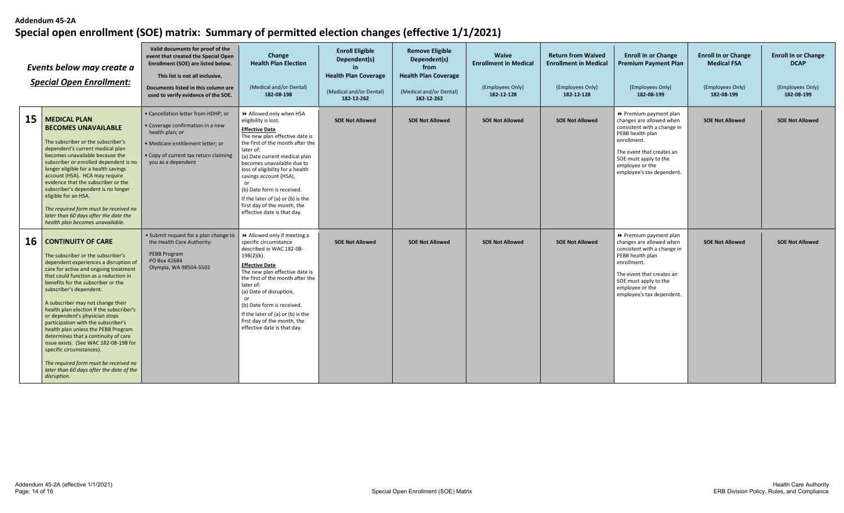| Events below may create a<br><b>Special Open Enrollment:</b> |                                                                                                                                                                                                                                                                                                                                                                                                                                                                                                                                                                                                                                                                               | Valid documents for proof of the<br>event that created the Special Open<br>Enrollment (SOE) are listed below.<br>This list is not all inclusive.<br>Documents listed in this column are<br>used to verify evidence of the SOE. | Change<br><b>Health Plan Election</b><br>(Medical and/or Dental)<br>182-08-198                                                                                                                                                                                                                                                                                                                                                   | <b>Enroll Eligible</b><br>Dependent(s)<br><b>Health Plan Coverage</b><br>(Medical and/or Dental)<br>182-12-262 | <b>Remove Eligible</b><br>Dependent(s)<br>from<br><b>Health Plan Coverage</b><br>(Medical and/or Dental)<br>182-12-262 | <b>Waive</b><br><b>Enrollment in Medical</b><br>(Employees Only)<br>182-12-128 | <b>Return from Waived</b><br><b>Enrollment in Medical</b><br>(Employees Only)<br>182-12-128 | <b>Enroll In or Change</b><br><b>Premium Payment Plan</b><br>(Employees Only)<br>182-08-199                                                                                                                                | <b>Enroll In or Change</b><br><b>Medical FSA</b><br>(Employees Only)<br>182-08-199 | <b>Enroll In or Change</b><br><b>DCAP</b><br>(Employees Only)<br>182-08-199 |
|--------------------------------------------------------------|-------------------------------------------------------------------------------------------------------------------------------------------------------------------------------------------------------------------------------------------------------------------------------------------------------------------------------------------------------------------------------------------------------------------------------------------------------------------------------------------------------------------------------------------------------------------------------------------------------------------------------------------------------------------------------|--------------------------------------------------------------------------------------------------------------------------------------------------------------------------------------------------------------------------------|----------------------------------------------------------------------------------------------------------------------------------------------------------------------------------------------------------------------------------------------------------------------------------------------------------------------------------------------------------------------------------------------------------------------------------|----------------------------------------------------------------------------------------------------------------|------------------------------------------------------------------------------------------------------------------------|--------------------------------------------------------------------------------|---------------------------------------------------------------------------------------------|----------------------------------------------------------------------------------------------------------------------------------------------------------------------------------------------------------------------------|------------------------------------------------------------------------------------|-----------------------------------------------------------------------------|
| 15                                                           | <b>MEDICAL PLAN</b><br><b>BECOMES UNAVAILABLE</b><br>The subscriber or the subscriber's<br>dependent's current medical plan<br>becomes unavailable because the<br>subscriber or enrolled dependent is no<br>longer eligible for a health savings<br>account (HSA). HCA may require<br>evidence that the subscriber or the<br>subscriber's dependent is no longer<br>eligible for an HSA.<br>The required form must be received no<br>later than 60 days after the date the<br>health plan becomes unavailable.                                                                                                                                                                | • Cancellation letter from HDHP; or<br>• Coverage confirmation in a new<br>health plan; or<br>· Medicare entitlement letter; or<br>• Copy of current tax return claiming<br>you as a dependent                                 | >> Allowed only when HSA<br>eligibility is lost.<br><b>Effective Date</b><br>The new plan effective date is<br>the first of the month after the<br>later of:<br>(a) Date current medical plan<br>becomes unavailable due to<br>loss of eligibility for a health<br>savings account (HSA),<br>or<br>(b) Date form is received.<br>If the later of (a) or (b) is the<br>first day of the month, the<br>effective date is that day. | <b>SOE Not Allowed</b>                                                                                         | <b>SOE Not Allowed</b>                                                                                                 | <b>SOE Not Allowed</b>                                                         | <b>SOE Not Allowed</b>                                                                      | ▶ Premium payment plan<br>changes are allowed when<br>consistent with a change in<br>PEBB health plan<br>enrollment.<br>The event that creates an<br>SOE must apply to the<br>employee or the<br>employee's tax dependent. | <b>SOE Not Allowed</b>                                                             | <b>SOE Not Allowed</b>                                                      |
| 16                                                           | <b>CONTINUITY OF CARE</b><br>The subscriber or the subscriber's<br>dependent experiences a disruption of<br>care for active and ongoing treatment<br>that could function as a reduction in<br>benefits for the subscriber or the<br>subscriber's dependent.<br>A subscriber may not change their<br>health plan election if the subscriber's<br>or dependent's physician stops<br>participation with the subscriber's<br>health plan unless the PEBB Program<br>determines that a continuity of care<br>issue exists. (See WAC 182-08-198 for<br>specific circumstances).<br>The required form must be received no<br>later than 60 days after the date of the<br>disruption. | • Submit request for a plan change to<br>the Health Care Authority:<br>PEBB Program<br>PO Box 42684<br>Olympia, WA 98504-5502                                                                                                  | Allowed only if meeting a<br>specific circumstance<br>described in WAC 182-08-<br>$198(2)(k)$ .<br><b>Effective Date</b><br>The new plan effective date is<br>the first of the month after the<br>later of:<br>(a) Date of disruption,<br>or<br>(b) Date form is received.<br>If the later of (a) or (b) is the<br>first day of the month, the<br>effective date is that day.                                                    | <b>SOE Not Allowed</b>                                                                                         | <b>SOE Not Allowed</b>                                                                                                 | <b>SOE Not Allowed</b>                                                         | <b>SOE Not Allowed</b>                                                                      | ▶ Premium payment plan<br>changes are allowed when<br>consistent with a change in<br>PEBB health plan<br>enrollment.<br>The event that creates an<br>SOE must apply to the<br>employee or the<br>employee's tax dependent. | <b>SOE Not Allowed</b>                                                             | <b>SOE Not Allowed</b>                                                      |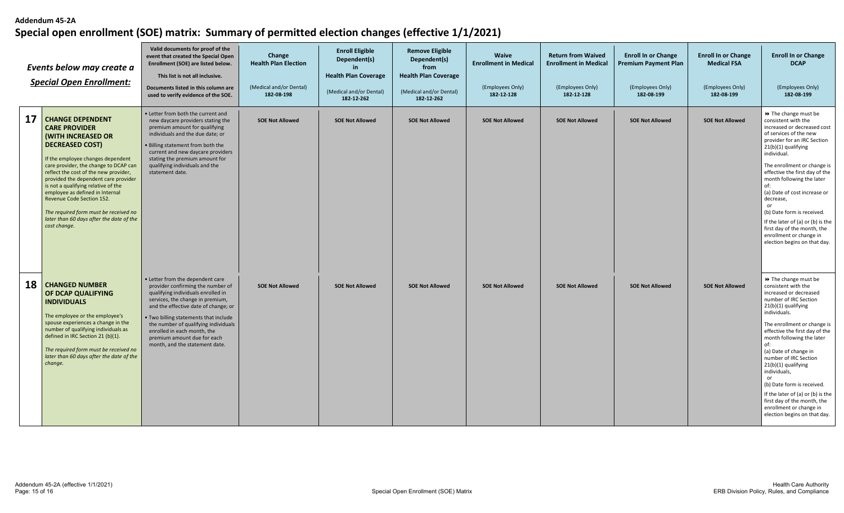| Events below may create a<br><b>Special Open Enrollment:</b> |                                                                                                                                                                                                                                                                                                                                                                                                                                                                                   | Valid documents for proof of the<br>event that created the Special Open<br>Enrollment (SOE) are listed below.<br>This list is not all inclusive.<br>Documents listed in this column are<br>used to verify evidence of the SOE.                                                                                                                                           | Change<br><b>Health Plan Election</b><br>(Medical and/or Dental)<br>182-08-198 | <b>Enroll Eligible</b><br>Dependent(s)<br><b>Health Plan Coverage</b><br>(Medical and/or Dental)<br>182-12-262 | <b>Remove Eligible</b><br>Dependent(s)<br>from<br><b>Health Plan Coverage</b><br>(Medical and/or Dental)<br>182-12-262 | <b>Waive</b><br><b>Enrollment in Medical</b><br>(Employees Only)<br>182-12-128 | <b>Return from Waived</b><br><b>Enrollment in Medical</b><br>(Employees Only)<br>182-12-128 | <b>Enroll In or Change</b><br><b>Premium Payment Plan</b><br>(Employees Only)<br>182-08-199 | <b>Enroll In or Change</b><br><b>Medical FSA</b><br>(Employees Only)<br>182-08-199 | <b>Enroll In or Change</b><br><b>DCAP</b><br>(Employees Only)<br>182-08-199                                                                                                                                                                                                                                                                                                                                                                                                                              |
|--------------------------------------------------------------|-----------------------------------------------------------------------------------------------------------------------------------------------------------------------------------------------------------------------------------------------------------------------------------------------------------------------------------------------------------------------------------------------------------------------------------------------------------------------------------|--------------------------------------------------------------------------------------------------------------------------------------------------------------------------------------------------------------------------------------------------------------------------------------------------------------------------------------------------------------------------|--------------------------------------------------------------------------------|----------------------------------------------------------------------------------------------------------------|------------------------------------------------------------------------------------------------------------------------|--------------------------------------------------------------------------------|---------------------------------------------------------------------------------------------|---------------------------------------------------------------------------------------------|------------------------------------------------------------------------------------|----------------------------------------------------------------------------------------------------------------------------------------------------------------------------------------------------------------------------------------------------------------------------------------------------------------------------------------------------------------------------------------------------------------------------------------------------------------------------------------------------------|
| 17                                                           | <b>CHANGE DEPENDENT</b><br><b>CARE PROVIDER</b><br><b>(WITH INCREASED OR</b><br><b>DECREASED COST)</b><br>If the employee changes dependent<br>care provider, the change to DCAP can<br>reflect the cost of the new provider,<br>provided the dependent care provider<br>is not a qualifying relative of the<br>employee as defined in Internal<br>Revenue Code Section 152.<br>The required form must be received no<br>later than 60 days after the date of the<br>cost change. | • Letter from both the current and<br>new daycare providers stating the<br>premium amount for qualifying<br>individuals and the due date; or<br>. Billing statement from both the<br>current and new daycare providers<br>stating the premium amount for<br>qualifying individuals and the<br>statement date.                                                            | <b>SOE Not Allowed</b>                                                         | <b>SOE Not Allowed</b>                                                                                         | <b>SOE Not Allowed</b>                                                                                                 | <b>SOE Not Allowed</b>                                                         | <b>SOE Not Allowed</b>                                                                      | <b>SOE Not Allowed</b>                                                                      | <b>SOE Not Allowed</b>                                                             | ▶ The change must be<br>consistent with the<br>increased or decreased cost<br>of services of the new<br>provider for an IRC Section<br>21(b)(1) qualifying<br>individual.<br>The enrollment or change is<br>effective the first day of the<br>month following the later<br>of:<br>(a) Date of cost increase or<br>decrease,<br>or<br>(b) Date form is received.<br>If the later of (a) or (b) is the<br>first day of the month, the<br>enrollment or change in<br>election begins on that day.           |
| 18                                                           | <b>CHANGED NUMBER</b><br>OF DCAP QUALIFYING<br><b>INDIVIDUALS</b><br>The employee or the employee's<br>spouse experiences a change in the<br>number of qualifying individuals as<br>defined in IRC Section 21 (b)(1).<br>The required form must be received no<br>later than 60 days after the date of the<br>change.                                                                                                                                                             | • Letter from the dependent care<br>provider confirming the number of<br>qualifying individuals enrolled in<br>services, the change in premium,<br>and the effective date of change; or<br>. Two billing statements that include<br>the number of qualifying individuals<br>enrolled in each month, the<br>premium amount due for each<br>month, and the statement date. | <b>SOE Not Allowed</b>                                                         | <b>SOE Not Allowed</b>                                                                                         | <b>SOE Not Allowed</b>                                                                                                 | <b>SOE Not Allowed</b>                                                         | <b>SOE Not Allowed</b>                                                                      | <b>SOE Not Allowed</b>                                                                      | <b>SOE Not Allowed</b>                                                             | ▶ The change must be<br>consistent with the<br>increased or decreased<br>number of IRC Section<br>21(b)(1) qualifying<br>individuals.<br>The enrollment or change is  <br>effective the first day of the<br>month following the later<br>of:<br>(a) Date of change in<br>number of IRC Section<br>21(b)(1) qualifying<br>individuals,<br>or<br>(b) Date form is received.<br>If the later of (a) or (b) is the<br>first day of the month, the<br>enrollment or change in<br>election begins on that day. |